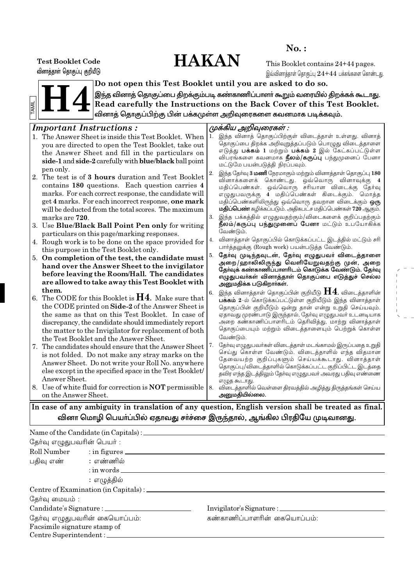# **HAKAN**

 $No.$ :

**Test Booklet Code** வினாத்தாள் தொகுப்பு குறியீடு

This Booklet contains 24+44 pages. இவ்வினாக்காள் கொகுப்ப $24 + 44$  பக்கங்களை கொண்டது.



Do not open this Test Booklet until you are asked to do so. இந்த வினாத் தொகுப்பை திறக்கும்படி கண்காணிப்பாளா் கூறும் வரையில் திறக்கக் கூடாது.

Read carefully the Instructions on the Back Cover of this Test Booklet. வினாத் தொகுப்பிற்கு பின் பக்கமுள்ள அறிவுரைகளை கவனமாக படிக்கவும்.

#### **Important Instructions:** முக்கிய அறிவுரைகள் : இந்த வினாத் தொகுப்பிற்குள் விடைத்தாள் உள்ளது. வினாத் 1. The Answer Sheet is inside this Test Booklet. When ...<br>தொகுப்பை திறக்க அறிவுறுத்தப்படும் பொழுது விடைத்தாளை you are directed to open the Test Booklet, take out எடுத்து **பக்கம் 1** மற்றும் **பக்கம் 2** இல் கேட்கப்பட்டுள்ள the Answer Sheet and fill in the particulars on விபரங்களை கவனமாக **நீலம்/கருப்பு** பந்துமுனைப் பேனா side-1 and side-2 carefully with blue/black ball point மட்டுமே பயன்படுத்தி நிரப்பவும். pen only. இந்த தேர்வு 3 மணி நேரமாகும் மற்றும் வினாத்தாள் தொகுப்பு 180  $2.$ 2. The test is of 3 hours duration and Test Booklet ை.<br>வினாக்களைக் கொண்டது. ஒவ்வொரு வினாவுக்கு 4 contains 180 questions. Each question carries 4 marks. For each correct response, the candidate will get 4 marks. For each incorrect response, one mark மதிப்பெண்களிலிருந்து ஒவ்வொரு தவறான விடைக்கும் ஒரு மதிப்பெண் கழிக்கப்படும். அதிகபட்ச மதிப்பெண்கள் 720 ஆகும். will be deducted from the total scores. The maximum இந்த பக்கத்தில் எழுதுவதற்கும்/விடைகளைக் குறிப்பதற்கும்  $3.$ marks are 720. நீலம்/கருப்பு பந்துமுனைப் பேனா மட்டும் உபயோகிக்க 3. Use Blue/Black Ball Point Pen only for writing .<br>வேண்டும். particulars on this page/marking responses. வினாத்தாள் தொகுப்பில் கொடுக்கப்பட்ட இடத்தில் மட்டும் சரி 4. Rough work is to be done on the space provided for பார்த்தலுக்கு (Rough work) பயன்படுத்த வேண்டும். this purpose in the Test Booklet only. தேர்வு முடிந்தவுடன், தேர்வு எழுதுபவர் விடைத்தாளை 5. On completion of the test, the candidate must அறை/ஹாலிலிருந்து வெளியேறுவதற்கு முன், அறை hand over the Answer Sheet to the invigilator தேர்வுக் கண்காணிப்பாளரிடம் கொடுக்க வேண்டும். தேர்வு before leaving the Room/Hall. The candidates எழுதுபவா்கள் வினாத்தாள் தொகுப்பை எடுத்துச் செல்ல are allowed to take away this Test Booklet with அனுமதிக்க படுகிறாா்கள். them. இந்த வினாத்தாள் தொகுப்பின் குறியீடு  $\bm{\mathsf{H}}\bm{4}$ . விடைத்தாளின் 6. The CODE for this Booklet is  $H4$ . Make sure that தொகுப்பின் குறியீடும் ஒன்று தான் என்று உறதி செய்யவும். the CODE printed on Side-2 of the Answer Sheet is ஏதாவது முரண்பாடு இருந்தால், தோவு எழுதுபவா் உடனடியாக the same as that on this Test Booklet. In case of அறை கண்காணிப்பாளரிடம் தெரிவித்து, மாற்று வினாத்தாள் discrepancy, the candidate should immediately report தொகுப்பையும் மற்றும் விடைத்தாளையும் பெற்றுக் கொள்ள the matter to the Invigilator for replacement of both வேண்டும். the Test Booklet and the Answer Sheet. 7. தோவு எழுதுபவா்கள் விடைத்தாள் மடங்காமல் இருப்பதை உறுதி 7. The candidates should ensure that the Answer Sheet செய்து கொள்ள வேண்டும். விடைத்தாளில் எந்த விதமான is not folded. Do not make any stray marks on the தேவையற்ற குறிப்புகளும் செய்யக்கூடாது. வினாத்தாள் Answer Sheet. Do not write your Roll No. anywhere தொகுப்பு/விடைத்தாளில் கொடுக்கப்பட்ட குறிப்பிட்ட இடத்தை else except in the specified space in the Test Booklet தவிர எந்த இடத்திலும் தோவு எழுதுபவா் அவரது பதிவு எண்ணை Answer Sheet. எழுத கூடாது. 8. Use of white fluid for correction is **NOT** permissible விடைத்தாளில் வெள்ளை திரவத்தில் அழித்து திருத்தங்கள் செய்ய  $\mathbf{8}$ <u>அனும்தியி</u>ல்லை. on the Answer Sheet.

In case of any ambiguity in translation of any question, English version shall be treated as final. வினா மொழி பெயா்ப்பில் ஏதாவது சா்ச்சை இருந்தால், ஆங்கில பிரதியே முடிவானது.

| தேர்வு எழுதுபவரின் பெயர் :      |                                                |                             |
|---------------------------------|------------------------------------------------|-----------------------------|
|                                 | Roll Number : in figures                       |                             |
| பதிவு எண்             : எண்ணில் |                                                |                             |
|                                 | $:$ in words $\_\_$                            |                             |
|                                 | : எழுத்தில்                                    |                             |
|                                 | Centre of Examination (in Capitals) : ________ |                             |
| தேர்வு மையம் :                  |                                                |                             |
|                                 |                                                |                             |
| தேர்வு எழுதுபவரின் கையொப்பம்:   |                                                | கண்காணிப்பாளரின் கையொப்பம்: |
| Facsimile signature stamp of    |                                                |                             |
| Centre Superintendent:          |                                                |                             |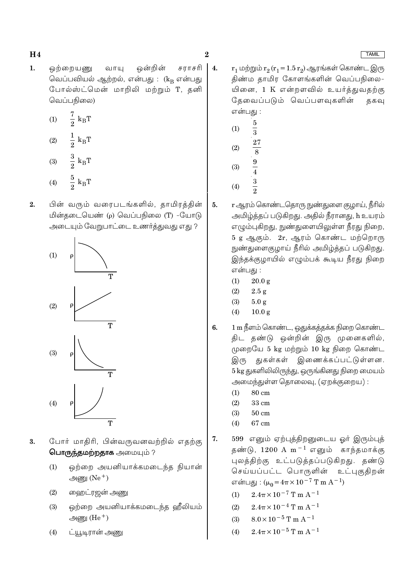$\mathbf{1}$ . ஒற்றையணு வாயு ஒன்றின் சராசரி வெப்பவியல் ஆற்றல், என்பது : (kR என்பது போல்ஸ்ட்மென் மாறிலி மற்றும் T, தனி வெப்பநிலை)

(1) 
$$
\frac{7}{2}
$$
 k<sub>B</sub>T  
\n(2)  $\frac{1}{2}$  k<sub>B</sub>T  
\n(3)  $\frac{3}{2}$  k<sub>B</sub>T  
\n(4)  $\frac{5}{2}$  k<sub>B</sub>T

 $\overline{2}$ பின் வரும் வரைபடங்களில், தாமிரக்கின் மின்தடையெண் (p) வெப்பநிலை (T) -யோடு அடையும் வேறுபாட்டை உணர்த்துவது எது ?



- போர் மாதிரி, பின்வருவனவற்றில் எதற்கு 3. பொருந்தமற்றதாக அமையும் ?
	- $(1)$ ஒற்றை அயனியாக்கமடைந்த நியான் அணு $(Ne<sup>+</sup>)$
	- ஹைட்ரஜன் <u>அணு</u>  $(2)$
	- ஒற்றை அயனியாக்கமடைந்த ஹீலியம்  $(3)$ அணு $(He<sup>+</sup>)$
	- ட்யூடிரான் அணு  $(4)$

 $\overline{4}$ .  $r_1$  மற்றும்  $r_2(r_1 = 1.5 r_2)$  ஆரங்கள் கொண்ட இரு திண்ம தாமிர கோளங்களின் வெப்பநிலை-யினை, 1 K என்றளவில் உயர்த்துவதற்கு கேவைப்படும் வெப்பளவுகளின் ககவ என்பது :

- $\overline{5}$  $(1)$  $\overline{3}$ 27  $(2)$  $\overline{8}$
- $\frac{9}{4}$   $\frac{3}{2}$  $(3)$
- $(4)$
- <u>r ஆரம் கொண்டதொரு நுண்து</u>ளை குழாய், நீரில்  $5.$ அமிழ்த்தப் படுகிறது. அதில் நீரானது, h உயரம் எழும்புகிறது, நுண்துளையிலுள்ள நீரது நிறை, 5 g ஆகும். 2r, ஆரம் கொண்ட மற்றொரு நுண்துளைகுழாய் நீரில் அமிழ்த்தப் படுகிறது. இந்தக்குழாயில் எழும்பக் கூடிய நீரது நிறை என்பது :
	- $(1)$  $20.0 \text{ g}$
	- $(2)$  $2.5 g$
	- $(3)$  $5.0 g$
	- $(4)$  $10.0 g$
- 1 m நீளம் கொண்ட, ஒதுக்கத்தக்க நிறை கொண்ட 6. திட தண்டு ஒன்றின் இரு முனைகளில், முறையே 5 kg மற்றும் 10 kg நிறை கொண்ட இரு துகள்கள் இணைக்கப்பட்டுள்ளன. 5 kg துகளிலிலிருந்து, ஒருங்கினது நிறை மையம் அமைந்துள்ள தொலைவு, (ஏறக்குறைய):
	- $80 \text{ cm}$  $(1)$
	- $33 \text{ cm}$  $(2)$
	- $(3)$  $50 \text{ cm}$
	- 67 cm  $(4)$
- 599 எனும் ஏற்புத்திறனுடைய ஓர் இரும்புத் 7. தண்டு,  $1200 \text{ A m}^{-1}$  எனும் காந்தமாக்கு புலத்திற்கு உட்படுத்தப்படுகிறது. தண்டு உட்புகுதிறன் செய்யப்பட்ட பொருளின் என்பது:  $(\mu_0 = 4\pi \times 10^{-7}$  T m A<sup>-1</sup>)
	- $2.4\pi \times 10^{-7}$  T m A<sup>-1</sup>  $(1)$
	- $(2)$  $2.4\pi \times 10^{-4}$  T m A<sup>-1</sup>
	- $8.0 \times 10^{-5}$  T m A<sup>-1</sup>  $(3)$
	- $2.4\pi \times 10^{-5}$  T m A<sup>-1</sup>  $(4)$

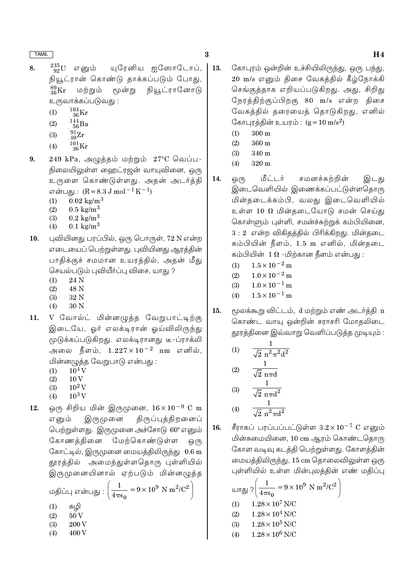- $\frac{235}{92}$ U எனும் யரேனிய ஐஸோடோப், 8. நியூட்ரான் கொண்டு தாக்கப்படும் போது,  $\frac{89}{36}$ Kr மூன்று நியூட்ரானோடு மற்றும் உருவாக்கப்படுவது :
	- $^{103}_{-36}\rm{Kr}$  $(1)$
	- $\frac{144}{56}$ Ba  $(2)$
	- $\frac{91}{40}Zr$  $(3)$
	- $^{101}_{\phantom{1}36}\mathrm{Kr}$  $(4)$
- $249$  kPa, அழுத்தம் மற்றும்  $27^{\circ}$ C வெப்ப-9. நிலையிலுள்ள ஹைட்ரஜன் வாயுவினை, ஒரு உருளை கொண்டுள்ளது. அதன் அடர்த்தி என்பது :  $(R = 8.3 J \text{ mol}^{-1} \text{K}^{-1})$ 
	- $(1)$  $0.02 \text{ kg/m}^3$
	- $0.5 \text{ kg/m}^3$  $(2)$
	- $0.2 \text{ kg/m}^3$  $(3)$
	- $0.1 \text{ kg/m}^3$  $(4)$
- புவியினது பரப்பில், ஒரு பொருள், 72 N என்ற 10. எடையைப் பெற்றுள்ளது. புவியினது ஆரத்தின் பாதிக்குச் சமமான உயரத்தில், அதன் மீது செயல்படும் புவியீர்ப்பு விசை, யாது ?
	- 24 N  $(1)$
	- 48 N  $(2)$
	- $(3)$ 32 N
	- 30 N  $(4)$
- V வோல்ட் மின்னழுத்த வேறுபாட்டிற்கு 11. இடையே, ஓர் எலக்டிரான் ஓய்விலிருந்து முடுக்கப்படுகிறது. எலக்டிரானது டீ-ப்ராக்லி அலை நீளம்,  $1.227 \times 10^{-2}$  nm எனில், மின்னழுத்த வேறுபாடு என்பது :
	- $10^4$  V  $(1)$
	- $(2)$  $10V$
	- $10^2$  V  $(3)$
	- $10^3$  V  $(4)$
- ஒரு சிறிய மின் இருமுனை,  $16 \times 10^{-9}$  C m 12. இருமுனை திருப்புத்திறனைப் எனும் பெற்றுள்ளது. இருமுனை அச்சோடு 60° எனும் கோணத்தினை மேற்கொண்டுள்ள <u>ஒ</u>(ந கோட்டில், இருமுனை மையத்திலிருந்து 0.6 m தூரத்தில் அமைந்துள்ளதொரு புள்ளியில் இருமுனையினால் ஏற்படும் மின்னழுத்த

மதிப்பு என்பது :  $\left(\frac{1}{4\pi\epsilon_0} = 9 \times 10^9 \text{ N m}^2/\text{C}^2\right)$  $(1)$ சுமி  $50V$  $(2)$ 200 V  $(3)$ 400 V  $(4)$ 

- 13. கோபுரம் ஒன்றின் உச்சியிலிருந்து, ஒரு பந்து, 20 m/s எனும் திசை வேகத்தில் கீழ்நோக்கி செங்குத்தாக எறியப்படுகிறது. அது, சிறிது நேரத்திற்குப்பிறகு 80 m/s என்ற திசை வேகத்தில் தரையைத் தொடுகிறது, எனில் கோபுரத்தின் உயரம் :  $(g = 10 \text{ m/s}^2)$ 
	- $300 \text{ m}$  $(1)$
	- $360<sub>m</sub>$  $(2)$
	- $(3)$ 340 m
	- $320 \text{ m}$  $(4)$
- 14. மீட்டர் சமனச்சுற்றின் இடது ஒ(ந இடைவெளியில் இணைக்கப்பட்டுள்ளதொரு மின்தடைக்கம்பி, வலது இடைவெளியில் உள்ள 10  $\Omega$  மின்தடையோடு சமன் செய்து கொள்ளும் புள்ளி, சமன்ச்சுற்றுக் கம்பியினை,  $3:2$  என்ற விகிதத்தில் பிரிக்கிறது. மின்தடை கம்பியின் நீளம், 1.5 m எனில், மின்தடை கம்பியின்  $1\,\Omega$  -மிற்கான நீளம் என்பது :
	- $1.5 \times 10^{-2}$  m  $(1)$
	- $1.0\times10^{-2}\,\mathrm{m}$  $(2)$
	- $1.0 \times 10^{-1}$  m  $(3)$
	- $1.5 \times 10^{-1}$  m  $(4)$
- 15. மூலக்கூறு விட்டம், d மற்றும் எண் அடர்த்தி n கொண்ட வாயு ஒன்றின் சராசரி மோதலிடை தூரத்தினை இவ்வாறு வெளிப்படுத்த முடியும் :

(1) 
$$
\frac{1}{\sqrt{2} \, n^2 \pi^2 d^2}
$$

(2) 
$$
\frac{1}{\sqrt{2} \text{ n} \pi d}
$$
  
(3)  $\frac{1}{\sqrt{2} \text{ n} \pi d^2}$ 

$$
(4) \qquad \frac{1}{\sqrt{2} \pi^2 \pi d^2}
$$

சீராகப் பரப்பப்பட்டுள்ள  $3.2 \times 10^{-7}$  C எனும் 16. மின்சுமையினை, 10 cm ஆரம் கொண்டதொரு கோள வடிவு கடத்தி பெற்றுள்ளது. கோளத்தின் மையத்திலிருந்து, 15 cm தொலைவிலுள்ள ஒரு புள்ளியில் உள்ள மின்புலத்தின் எண் மதிப்பு

$$
\text{Liff} \left\{\frac{1}{4\pi\epsilon_0} = 9 \times 10^9 \text{ N m}^2/\text{C}^2\right\}
$$
\n(1) 1.28×10<sup>7</sup> N/C  
\n(2) 1.28×10<sup>4</sup> N/C  
\n(3) 1.28×10<sup>5</sup> N/C  
\n(4) 1.28×10<sup>6</sup> N/C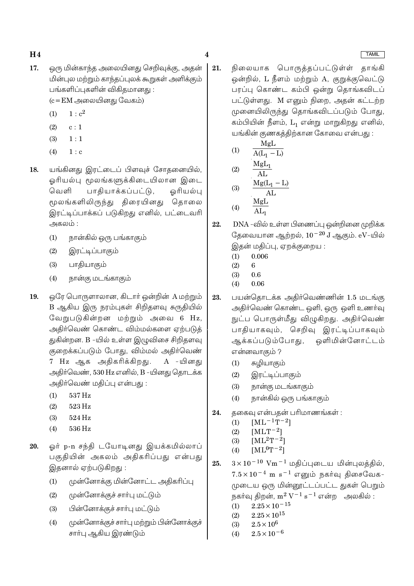- 17. ஒரு மின்காந்த அலையினது செறிவுக்கு, அதன் மின்புல மற்றும் காந்தப்புலக் கூறுகள் அளிக்கும் பங்களிப்புகளின் விகிகமானது :  $(c = EM \n\implies \n\implies$ 
	- $1 : c<sup>2</sup>$  $(1)$
	- $(2)$  $c:1$
	- $(3)$  $1:1$
	- $(4)$  $1:$  c
- யங்கினது இரட்டைப் பிளவச் சோகனையில். 18. ஒரியல்பு மூலங்களுக்கிடையிலான இடை பாதியாக்கப்பட்டு, ஒரியல்பு வெளி மூலங்களிலிருந்து திரையினது தொலை இரட்டிப்பாக்கப் படுகிறது எனில், பட்டைவரி அகலம் :
	- நான்கில் ஒரு பங்காகும்  $(1)$
	- இரட்டிப்பாகும்  $(2)$
	- பாதியாகும்  $(3)$
	- நான்கு மடங்காகும்  $(4)$
- ஒரே பொருளாலான, கிடார் ஒன்றின் A மற்றும் 19. B ஆகிய இரு நரம்புகள் சிறிதளவு சுருதியில் வேறுபடுகின்றன மற்றும் அவை 6 Hz, அதிர்வெண் கொண்ட விம்மல்களை ஏற்படுத் துகின்றன. B -யில் உள்ள இழுவிசை சிறிதளவு குறைக்கப்படும் போது, விம்மல் அதிர்வெண் 7 Hz ஆக அதிகரிக்கிறது. A -யினது அதிர்வெண், 530 Hz எனில், B -யினது தொடக்க அதிர்வெண் மதிப்பு என்பது:
	- 537 Hz  $(1)$
	- $(2)$  $523\,\mathrm{Hz}$
	- $(3)$ 524 Hz
	- $(4)$ 536 Hz
- ஓர் p-n சந்தி டயோடினது இயக்கமில்லாப் 20. பகுகியின் அகலம் அகிகரிப்பது என்பது இதனால் ஏற்படுகிறது :
	- முன்னோக்கு மின்னோட்ட அதிகரிப்பு  $(1)$
	- முன்னோக்குச் சாா்பு மட்டும்  $(2)$
	- பின்னோக்குச் சாா்பு மட்டும்  $(3)$
	- முன்னோக்குச் சாா்பு மற்றும் பின்னோக்குச்  $(4)$ சாா்பு ஆகிய இரண்டும்
- 21. நிலையாக பொருத்தப்பட்டுள்ள் தாங்கி ஒன்றில், L நீளம் மற்றும் A, குறுக்குவெட்டு பரப்பு கொண்ட கம்பி ஒன்று தொங்கவிடப் பட்டுள்ளது. M எனும் நிறை, அதன் கட்டற்ற முனையிலிருந்து தொங்கவிடப்படும் போது, கம்பியின் நீளம், L<sub>1</sub> என்று மாறுகிறது எனில், யங்கின் குணகத்திற்கான கோவை என்பது :
	- MgL  $(1)$  $A(L_1 - L)$  $M_{\alpha}I$

 $\overline{\mathbf{4}}$ 

$$
(2) \quad \frac{\text{MgL}_1}{\text{AL}} \quad \frac{\text{MgL}_1}{\text{Mg(L}_1 - 1)}
$$

$$
\begin{array}{cc}\n\text{(3)} & \frac{\text{Mg}(L_1 - L)}{\text{AL}} \\
\text{(4)} & \frac{\text{Mg}L}{\text{AL}}\n\end{array}
$$

$$
(4) \qquad \overline{\text{AL}_1}
$$

DNA -வில் உள்ள பிணைப்பு ஒன்றினை முறிக்க 22. தேவையான ஆற்றல்,  $10^{-20}$  J ஆகும்.  $eV$ -யில் இதன் மதிப்பு, ஏறக்குறைய:

- $0.006$  $(1)$
- $(2)$  $\mathbf{g}$
- $(3)$  $0.6$
- $(4)$ 0.06
- பயன்தொடக்க அதிர்வெண்ணின் 1.5 மடங்கு 23. அதிர்வெண் கொண்ட ஒளி, ஒரு ஒளி உணர்வு நுட்ப பொருள்மீது விழுகிறது. அதிர்வெண் பாதியாகவும், செறிவு இரட்டிப்பாகவும் ஆக்கப்படும்போது, ஒளிமின்னோட்டம் என்னவாகும் ?
	- சுழியாகும்  $(1)$
	- இரட்டிப்பாகும்  $(2)$
	- நான்கு மடங்காகும்  $(3)$
	- நான்கில் ஒரு பங்காகும்  $(4)$
- தகைவு என்பதன் பரிமாணங்கள் : 24.
	- $[ML^{-1}T^{-2}]$  $(1)$
	- $[MLT^{-2}]$  $(2)$
	- $[ML^2T^{-2}]$  $(3)$
	- $[ML^0T^{-2}]$  $(4)$
- $3 \times 10^{-10}$  Vm<sup>-1</sup> மதிப்புடைய மின்புலத்தில், 25.  $7.5 \times 10^{-4}$  m s<sup>-1</sup> எனும் நகர்வு திசைவேக-முடைய ஒரு மின்னூட்டப்பட்ட துகள் பெறும் நகர்வு திறன்,  $m^2 V^{-1} s^{-1}$  என்ற அலகில் :
	- $2.25 \times 10^{-15}$  $(1)$
	- $2.25\times10^{15}$  $(2)$
	- $(3)$  $2.5 \times 10^6$
	- $2.5 \times 10^{-6}$  $(4)$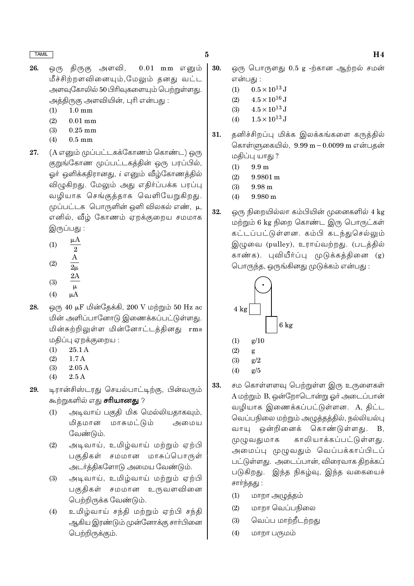- 26. ஒரு திருகு அளவி,  $0.01$  mm எனும் மீச்சிற்றளவினையும்,மேலும் தனது வட்ட அளவுகோலில் 50 பிரிவுகளையும் பெற்றுள்ளது. அத்திருகு அளவியின், புரி என்பது :
	- $1.0 \text{ mm}$  $(1)$
	- $(2)$  $0.01$  mm
	- $(3)$  $0.25$  mm
	- $(4)$  $0.5$  mm
- (A எனும் முப்பட்டகக்கோணம் கொண்ட) ஒரு 27. குறுங்கோண முப்பட்டகத்தின் ஒரு பரப்பில், ஓர் ஒளிக்கதிரானது, *i* எனும் வீழ்கோணத்தில் விழுகிறது. மேலும் அது எதிர்ப்பக்க பரப்பு வழியாக செங்குத்தாக வெளியேறுகிறது. முப்பட்டக பொருளின் ஒளி விலகல் எண், μ, எனில், வீழ் கோணம் ஏறக்குறைய சமமாக இருப்பது :
	- $\mu A$  $(1)$  $\overline{2}$  $(2)$
	- $2\mu$  $2A$
	- $(3)$  $\mu$
	- $(4)$
- ஒரு 40 µF மின்தேக்கி, 200 V மற்றும் 50 Hz ac 28. மின் அளிப்பானோடு இணைக்கப்பட்டுள்ளது. மின்சுற்றிலுள்ள மின்னோட்டத்தினது rms மதிப்பு ஏறக்குறைய :
	- $(1)$  $25.1A$
	- $1.7A$  $(2)$
	- $(3)$  $2.05A$
	- $2.5A$  $(4)$
- டிரான்சிஸ்டரது செயல்பாட்டிற்கு, பின்வரும் 29. கூற்றுகளில் எது **சரியானது** ?
	- அடிவாய் பகுதி மிக மெல்லியதாகவும்,  $(1)$ மிகமான மாசுமட்டும் அமைய வேண்டும்.
	- அடிவாய், உமிழ்வாய் மற்றும் ஏற்பி  $(2)$ பகுதிகள் சமமான மாசுப்பொருள் அடர்த்திகளோடு அமைய வேண்டும்.
	- அடிவாய், உமிழ்வாய் மற்றும் ஏற்பி  $(3)$ பகுதிகள் சமமான உருவளவினை பெற்றிருக்க வேண்டும்.
	- உமிழ்வாய் சந்தி மற்றும் ஏற்பி சந்தி  $(4)$ ஆகிய இரண்டும் முன்னோக்கு சாா்பினை பெற்றிருக்கும்.
- $\bf{5}$ 
	- 30. ஒரு பொருளது 0.5 g -ற்கான ஆற்றல் சமன் என்பது :
		- $0.5 \times 10^{13}$  J  $(1)$
		- $(2)$  $4.5 \times 10^{16}$  J
		- $4.5 \times 10^{13}$  J  $(3)$
		- $1.5 \times 10^{13}$  J  $(4)$
	- 31. தனிச்சிறப்பு மிக்க இலக்கங்களை கருத்தில் கொள்ளுகையில், 9.99 m - 0.0099 m என்பதன் மதிப்பு யாது ?
		- $(1)$  $9.9<sub>m</sub>$
		- $(2)$  $9.9801 \text{ m}$
		- $(3)$  $9.98<sub>m</sub>$
		- $9.980 m$  $(4)$
	- 32 ஒரு நிறையில்லா கம்பியின் முனைகளில் 4 kg மற்றும் 6 kg நிறை கொண்ட இரு பொருட்கள் கட்டப்பட்டுள்ளன. கம்பி கடந்துசெல்லும் இழுவை (pulley), உராய்வற்றது. (படத்தில் காண்க). புவியீர்ப்பு முடுக்கக்கினை (g) பொருந்த, ஒருங்கினது முடுக்கம் என்பது :



- $(2)$ g
- $(3)$  $g/2$
- $(4)$  $g/5$
- சம கொள்ளளவு பெற்றுள்ள இரு உருளைகள் 33. A மற்றும் B, ஒன்றோடொன்று ஓர் அடைப்பான் வழியாக இணைக்கப்பட்டுள்ளன. A, திட்ட வெப்பநிலை மற்றும் அழுத்தத்தில், நல்லியல்பு வாயு ஒன்றினைக் கொண்டுள்ளது.  $B.$ காலியாக்கப்பட்டுள்ளது. முழுவதுமாக அமைப்பு முழுவதும் வெப்பக்காப்பிடப் பட்டுள்ளது. அடைப்பான், விரைவாக திறக்கப் படுகிறது. இந்த நிகழ்வு, இந்த வகையைச் சார்ந்தது :
	- $(1)$ மாறா அழுத்தம்
	- மாறா வெப்பநிலை  $(2)$
	- $(3)$ வெப்ப மாற்றீடற்றது
	- மாறா பருமம்  $(4)$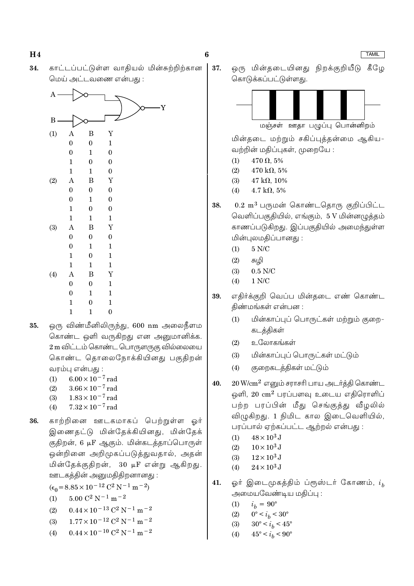காட்டப்பட்டுள்ள வாதியல் மின்சுற்றிற்கான 34. மெய் அட்டவணை என்பது :



- ஒரு விண்மீனிலிருந்து, 600 nm அலைநீளம 35. கொண்ட ஒளி வருகிறது என அனுமானிக்க. 2 m விட்டம் கொண்ட பொருளருகு வில்லையை கொண்ட தொலைநோக்கியினது பகுதிறன் வரம்பு என்பது :
	- $6.00 \times 10^{-7}$  rad  $(1)$
	- $3.66 \times 10^{-7}$  rad  $(2)$
	- $1.83 \times 10^{-7}$  rad  $(3)$  $7.32 \times 10^{-7}$  rad
	- $(4)$
- காற்றினை ஊடகமாகப் பெற்றுள்ள ஒர் 36. இணைதட்டு மின்தேக்கியினது, மின்தேக் குதிறன், 6 µF ஆகும். மின்கடத்தாப்பொருள் ஒன்றினை அறிமுகப்படுத்துவதால், அதன் மின்தேக்குதிறன், 30 μF என்று ஆகிறது. ஊடகத்தின் அனுமதிதிறனானது:
	- $(\epsilon_0 = 8.85 \times 10^{-12} \text{ C}^2 \text{ N}^{-1} \text{ m}^{-2})$
	- $5.00 C^2 N^{-1} m^{-2}$  $(1)$
	- $0.44 \times 10^{-13}$  C<sup>2</sup> N<sup>-1</sup> m<sup>-2</sup>  $(2)$
	- $1.77 \times 10^{-12}$  C<sup>2</sup> N<sup>-1</sup> m<sup>-2</sup>  $(3)$
	- $0.44 \times 10^{-10}$  C<sup>2</sup> N<sup>-1</sup> m<sup>-2</sup>  $(4)$

37. ஒரு மின்தடையினது நிறக்குறியீடு கீழே கொடுக்கப்பட்டுள்ளது.



மஞ்சள் ஊதா பழுப்பு பொன்னிறம்

மின்தடை மற்றும் சகிப்புத்தன்மை ஆகிய-வற்றின் மகிப்புகள், முறையே :

- $470 \Omega, 5\%$  $(1)$
- $(2)$  $470 \text{ k}\Omega, 5\%$
- $(3)$  $47 k\Omega$ , 10%
- $(4)$  $4.7 \text{ k}\Omega, 5\%$
- $0.2~{\rm m}^3$  பருமன் கொண்டதொரு குறிப்பிட்ட 38. வெளிப்பகுதியில், எங்கும், 5 V மின்னழுத்தம் காணப்படுகிறது. இப்பகுதியில் அமைந்துள்ள மின்புலமதிப்பானது:
	- $5 N/C$  $(1)$
	- $(2)$ சுழி
	- $(3)$  $0.5$  N/C
	- $(4)$  $1 N/C$
- எதிர்க்குறி வெப்ப மின்தடை எண் கொண்ட 39. திண்மங்கள் என்பன :
	- மின்காப்புப் பொருட்கள் மற்றும் குறை- $(1)$ கடத்திகள்
	- உலோகங்கள்  $(2)$
	- மின்காப்புப் பொருட்கள் மட்டும்  $(3)$
	- குறைகடத்திகள் மட்டும்  $(4)$
- $20\,\mathrm{W/cm^2}$  எனும் சராசரி பாய அடர்த்தி கொண்ட 40. ஒளி,  $20 \text{ cm}^2$  பரப்பளவு உடைய எகிரொளிப் பற்ற பரப்பின் மீது செங்குத்து வீழலில் விழுகிறது. 1 நிமிட கால இடைவெளியில், பரப்பால் ஏற்கப்பட்ட ஆற்றல் என்பது :
	- $48 \times 10^3$  J  $(1)$
	- $10 \times 10^3$  J  $(2)$
	- $12 \times 10^3$  J  $(3)$
	- $24 \times 10^3$  J  $(4)$
- ஓர் இடைமுகத்திம் ப்ரூஸ்டர் கோணம்,  $i_h$ 41. அமையவேண்டிய மதிப்பு :
	- $i_h = 90^{\circ}$  $(1)$
	- $(2)$  $0^{\circ} < i_b < 30^{\circ}$
	- $(3)$  $30^{\circ} < i_h < 45^{\circ}$
	- $45^{\circ} < i_h < 90^{\circ}$  $(4)$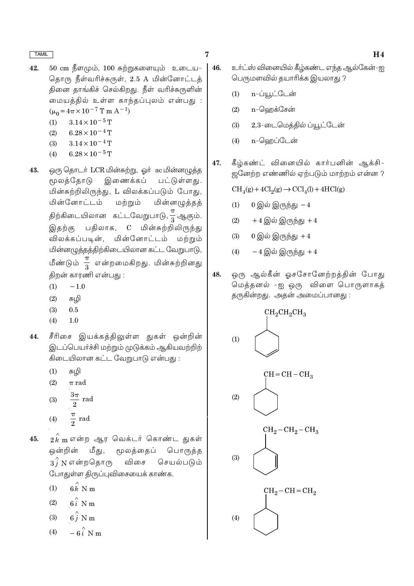- 42. 50 cm நீளமும், 100 சுற்றுகளையும் உடைய-தொரு நீள்வரிச்சுருள், 2.5 A மின்னோட்டத் தினை தாங்கிச் செல்கிறது. நீள் வரிச்சுருளின் மையத்தில் உள்ள காந்தப்புலம் என்பது :  $(\mu_0 = 4\pi \times 10^{-7} \text{ T m A}^{-1})$ 
	- $3.14 \times 10^{-5}$  T  $(1)$
	- $(2)$  $6.28 \times 10^{-4}$  T
	- $(3)$  $3.14 \times 10^{-4}$  T
	- $6.28 \times 10^{-5}$  T  $(4)$
- ஒரு தொடர் LCR மின்சுற்று, ஓர் ac மின்னழுத்த 43. மூலத்தோடு இணைக்கப் பட்டுள்ளது. மின்சுற்றிலிருந்து, L விலக்கப்படும் போது, மின்னோட்டம் மற்றும் மின்னழுத்தத் திற்கிடையிலான கட்டவேறுபாடு, $\frac{\pi}{3}$ ஆகும். பதிலாக, C மின்சுற்றிலிருந்து இதற்கு மின்னோட்டம் விலக்கப்படின், மற்றும் மின்னமுத்தத்திற்கிடையிலான கட்ட வேறுபாடு, மீண்டும்  $\frac{\pi}{3}$  என்றமைகிறது. மின்சுற்றினது திறன் காரணி என்பது :
	- $(1)$  $-1.0$
	- $(2)$ சுழி
	- $(3)$  $0.5$
	- $(4)$  $1.0$
- 44. சீரிசை இயக்கத்திலுள்ள துகள் ஒன்றின் இடப்பெயர்ச்சி மற்றும் முடுக்கம் ஆகியவற்றிற் கிடையிலான கட்ட வேறுபாடு என்பது :
	- $(1)$ சுமி
	- $(2)$  $\pi$  rad
	- $\frac{3\pi}{2}$  rad  $(3)$
	- $\frac{\pi}{2}$  rad  $(4)$
- $2\overset{\smallfrown}{k}$ m என்ற ஆர வெக்டர் கொண்ட துகள் 45. ஒன்றின் மீது, மூலத்தைப் பொருத்த  $3\hat{i}$  N என்றதொரு விசை செயல்படும் போதுள்ள திருப்புவிசையைக் காண்க.
	- $6k$  N m  $(1)$
	- $6i$  N m  $(2)$
	- $6\stackrel{\wedge}{j}$  N m  $(3)$
	- $-6i$  N m  $(4)$
- $\overline{7}$ 
	- உர்ட்ஸ் வினையில் கீழ்கண்ட எந்த ஆல்கேன்-ஐ 46. பெருமளவில் தயாரிக்க இயலாது ?
		- n-ப்யூட்டேன்  $(1)$
		- n-ஹெக்சேன்  $(2)$
		- 2,3-டைமெத்தில் ப்யூட்டேன்  $(3)$
		- n-ஹெப்டேன்  $(4)$
	- கீழ்கண்ட் வினையில் கார்பனின் ஆக்சி-47. ஜனேற்ற எண்ணில் ஏற்படும் மாற்றம் என்ன ?

 $CH<sub>4</sub>(g) + 4Cl<sub>2</sub>(g) \rightarrow CCl<sub>4</sub>(l) + 4HCl(g)$ 

- 0 இல் இருந்து  $-4$  $(1)$
- $+4$  இல் இருந்து  $+4$  $(2)$
- $0 \bigcirc \hat{\mathbb{Q}}$ ல் இருந்து +4  $(3)$
- $-4$  இல் இருந்து  $+4$  $(4)$
- 48. ஒரு ஆல்கீன் ஓசசோனேற்றத்தின் போது மெத்தனல் -ஐ ஒரு விளை பொருளாகத் தருகின்றது. அதன் அமைப்பானது :

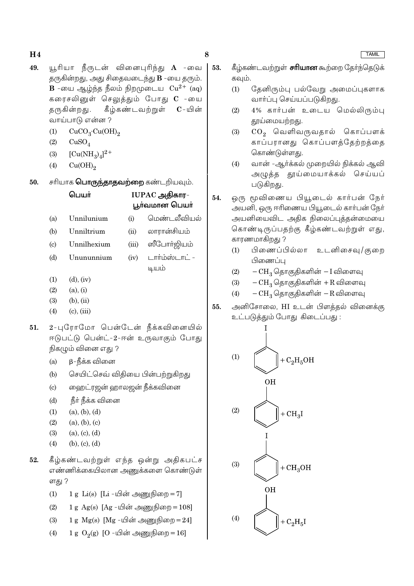49. யூரியா நீருடன் வினைபுரிந்து **A** -வை தருகின்றது, அது சிதைவடைந்து **B** -யை தரும். **B** -யை ஆழ்ந்த நீலம் நிறமுடைய  $Cu^{2+}$  (ag) கரைசலினுள் செலுத்தும் போது C -யை கீழ்கண்டவற்றுள் குருகின்றது.  $\mathbf{C}$  - யின் வாய்பாடு என்ன ?

8

- $CuCO<sub>3</sub>·Cu(OH)<sub>2</sub>$  $(1)$
- $(2)$  $CuSO<sub>4</sub>$
- $[Cu(NH_3)_4]^2$ <sup>+</sup>  $(3)$
- $Cu(OH)_{2}$  $(4)$
- சரியாக **பொருந்தாதவற்றை** கண்டறியவும். 50.

#### பெயர் IUPAC அதிகார-பூர்வமான பெயர் மெண்டலீவியல் Unnilunium  $(i)$  $(a)$ லாரான்சியம்  $(b)$ Unniltrium  $(ii)$ Unnilhexium ஸீபோர்ஜியம்  $(c)$  $(iii)$ டார்ம்ஸ்டாட் -Unununnium  $(iv)$  $(d)$ டியம்

- $(1)$  $(d)$ ,  $(iv)$
- $(2)$  $(a), (i)$
- $(3)$  $(b)$ ,  $(ii)$
- $(4)$  $(c)$ ,  $(iii)$
- 2-புரோமோ பென்டேன் நீக்கவினையில்  $51.$ ஈடுபட்டு பென்ட்-2-ஈன் உருவாகும் போது நிகழும் வினை எது ?
	- β-நீக்க வினை  $(a)$
	- செயிட்செவ் விதியை பின்பற்றுகிறது  $(b)$
	- ஹைட்ரஜன் ஹாலஜன் நீக்கவினை  $(c)$
	- நீர் நீக்க வினை  $(d)$
	- $(1)$  $(a), (b), (d)$
	- $(2)$  $(a), (b), (c)$
	- $(a), (c), (d)$  $(3)$
	- $(4)$  $(b), (c), (d)$
- 52. கீழ்கண்டவற்றுள் எந்த ஒன்று அதிகபட்ச எண்ணிக்கையிலான அணுக்களை கொண்டுள் ளது ?
	- 1 g  $Li(s)$  [Li -யின் அணுநிறை = 7]  $(1)$
	- 1 g Ag(s)  $[Ag \mu\hat{\sigma}\hat{\sigma}] = 108$  $(2)$
	- $(3)$ 1 g  $Mg(s)$  [Mg -யின் அணுநிறை = 24]
	- $1 g O<sub>2</sub>(g)$  [O -யின் அணுநிறை = 16]  $(4)$
- கீழ்கண்டவற்றுள் **சரியான** கூற்றை தோ்ந்தெடுக் 53. கவும்.
	- $(1)$ தேனிரும்பு பல்வேறு அமைப்புகளாக வார்ப்பு செய்யப்படுகிறது.
	- 4% கார்பன் உடைய மெல்லிரும்பு  $(2)$ தூய்மையற்றது.
	- $CO<sub>2</sub>$  வெளிவருவதால் கொப்பளக்  $(3)$ காப்பரானது கொப்பளக்கேற்றக்கை கொண்டுள்ளது.
	- வான் -ஆர்க்கல் முறையில் நிக்கல் ஆவி  $(4)$ அழுத்த தூய்மையாக்கல் செய்யப் படுகிறது.
- ஒரு மூவிணைய பியூடைல் கார்பன் நேர் 54. அயனி, ஒரு ஈரிணைய பியூடைல் கார்பன் நேர் அயனியைவிட அகிக நிலைப்புக்கன்மையை கொண்டிருப்பதற்கு கீழ்கண்டவற்றுள் எது, காரணமாகிறது ?
	- பிணைப்பில்லா உடனிசைவு/குறை  $(1)$ பிணைப்ப
	- $(2)$ – CH<sub>3</sub> தொகுதிகளின் – I விளைவு
	- $-{\rm CH}_2$  தொகுதிகளின்  $+{\rm R}$  விளைவு  $(3)$
	- CH<sub>3</sub> தொகுதிகளின் R விளைவு  $(4)$
- அனிசோலை, HI உடன் பிளக்கல் வினைக்கு 55. உட்படுத்தும் போது கிடைப்பது :

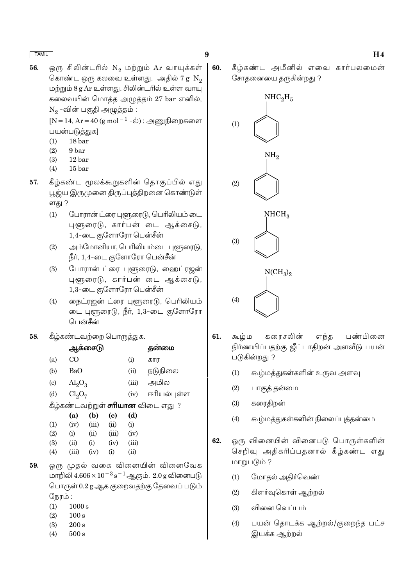56. ஒரு சிலின்டரில் N<sub>2</sub> மற்றும் Ar வாயுக்கள் கொண்ட ஒரு கலவை உள்ளது. அதில் 7 g  $\mathrm{N}_2$ மற்றும் 8 g Ar உள்ளது. சிலின்டரில் உள்ள வாயு கலைவயின் மொத்த அழுத்தம் 27 bar எனில்,  $N_2$ -வின் பகுதி அழுத்தம்:

 $[N = 14, Ar = 40 (g mol<sup>-1</sup> - \dot{\omega})$  : அணுநிறைகளை பயன்படுத்துக]

- $(1)$  $18<sub>bar</sub>$
- $(2)$ 9<sub>bar</sub>
- $(3)$  $12<sub>bar</sub>$
- 15 bar  $(4)$
- கீழ்கண்ட மூலக்கூறுகளின் தொகுப்பில் எது 57. பூஜ்ய இருமுனை திருப்புத்திறனை கொண்டுள் ளது ?
	- $(1)$ போரான் ட்ரை புளூரைடு, பெரிலியம் டை புளூரைடு, கார்பன் டை ஆக்சைடு, 1,4-டை குளோரோ பென்சீன்
	- அம்மோனியா, பெரிலியம்டை புளூரைடு,  $(2)$ நீர், 1,4-டை குளோரோ பென்சீன்
	- போரான் ட்ரை புளூரைடு, ஹைட்ரஜன்  $(3)$ புளூரைடு, கார்பன் டை ஆக்சைடு, 1,3-டை குளோரோ பென்சீன்
	- நைட்ரஜன் ட்ரை புளூரைடு, பெரிலியம்  $(4)$ டை புளூரைடு, நீர், 1,3-டை குளோரோ பென்சீன்
- 58. கீழ்கண்டவற்றை பொருத்துக.

|                           |                         | ஆக்சைட <mark>ு</mark> |                            |          | தனமை                                      |
|---------------------------|-------------------------|-----------------------|----------------------------|----------|-------------------------------------------|
| (a)                       | $\rm CO$                |                       |                            | (i)      | கார                                       |
| (b)                       | BaO                     |                       |                            | (ii)     | நடுநிலை                                   |
| $\left( \text{c} \right)$ | $\text{Al}_2\text{O}_3$ |                       |                            | (iii)    | அமில                                      |
| (d)                       | $Cl_2O_7$               |                       |                            | (iv)     | ஈரியல்புள்ள                               |
|                           |                         |                       |                            |          | கீழ்கண்டவற்றுள் <b>சரியான</b> விடை எது  ? |
|                           | (a)                     | (b)                   | $\left( \mathrm{e}\right)$ | (d)      |                                           |
| (1)                       | (iv)                    | (iii)                 | (ii)                       | $\rm(i)$ |                                           |
| (2)                       | (i)                     | (ii)                  | (iii)                      | (iv)     |                                           |
| (3)                       | (ii)                    | (i)                   | (iv)                       | (iii)    |                                           |
| (4)                       | (iii)                   | (iv)                  | (i)                        | (ii)     |                                           |
|                           |                         |                       |                            |          |                                           |

- ஒரு முதல் வகை வினையின் வினைவேக 59. மாறிலி  $4.606 \times 10^{-3}$  s<sup>-1</sup> ஆகும். 2.0 g வினைபடு பொருள் 0.2 g ஆக குறைவதற்கு தேவைப் படும் நேரம்:
	- $(1)$  $1000 s$
	- $(2)$  $100 s$
	- $(3)$  $200 s$
	- $(4)$  $500 s$

60. கீழ்கண்ட அமீனில் எவை கார்பலமைன் சோதனையை தருகின்றது ?



9

- 61. கூழ்ம கரைசலின் எந்த பண்பினை நிர்ணயிப்பதற்கு ஜீட்டாதிறன் அளவீடு பயன் படுகின்றது ?
	- $(1)$ கூழ்மத்துகள்களின் உருவ அளவு
	- $(2)$ பாகுத் தன்மை
	- கரைதிறன்  $(3)$
	- கூழ்மத்துகள்களின் நிலைப்புத்தன்மை  $(4)$
- 62. ஒரு வினையின் வினைபடு பொருள்களின் செறிவு அதிகரிப்பதனால் கீழ்கண்ட எது மாறுபடும் ?
	- மோதல் அதிர்வெண்  $(1)$
	- கிளர்வுகொள் ஆற்றல்  $(2)$
	- வினை வெப்பம்  $(3)$
	- பயன் தொடக்க ஆற்றல்/குறைந்த பட்ச  $(4)$ இயக்க ஆற்றல்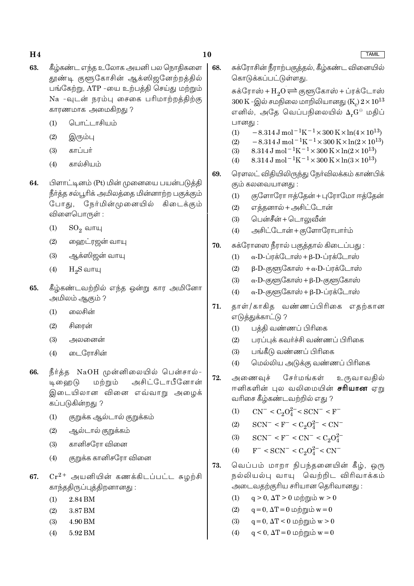- 63. கீழ்கண்ட எந்த உலோக அயனி பல நொகிகளை தூண்டி குளூகோசின் ஆக்ஸிஜனேற்றத்தில் பங்கேற்று, ATP -யை உற்பத்தி செய்து மற்றும் Na -வுடன் நரம்பு சைகை பரிமாற்றத்திற்கு காரணமாக அமைகிறது ?
	- பொட்டாசியம்  $(1)$
	- இரும்பு  $(2)$
	- காட்டர்  $(3)$
	- $(4)$ கால்சியம்
- 64. பிளாட்டினம் (Pt) மின் முனையை பயன்படுத்தி நீர்த்த சல்பூரிக் அமிலத்தை மின்னாற்ற பகுக்கும் போகுட் நேர்மின்முனையில் கிடைக்கும் விளைபொருள் :
	- $SO_2$  வாயு  $(1)$
	- ஹைட்ரஜன் வாயு  $(2)$
	- ஆக்ஸிஜன் வாயு  $(3)$
	- $(4)$  $H<sub>2</sub>S$  வாயு
- கீழ்கண்டவற்றில் எந்த ஒன்று கார அமினோ 65. அமிலம் ஆகும் ?
	- லைசின்  $(1)$
	- $(2)$ சிரைன்
	- $(3)$ அலனைன்
	- டைரோசின்  $(4)$
- நீர்த்த NaOH முன்னிலையில் பென்சால்-66. அசிட்டோபீனோன் டி வை டு மற்றும் இடையிலான வினை எவ்வாறு அழைக் கப்படுகின்றது ?
	- குறுக்க ஆல்டால் குறுக்கம்  $(1)$
	- $(2)$ ஆல்டால் குறுக்கம்
	- கானிசரோ வினை  $(3)$
	- குறுக்க கானிசரோ வினை  $(4)$
- 67.  $Cr^{2+}$  அயனியின் கணக்கிடப்பட்ட சுமற்சி காந்ததிருப்புத்திறனானது :
	- 2.84 BM  $(1)$
	- $(2)$ 3.87 BM
	- $(3)$ 4.90 BM
	- 5.92 BM  $(4)$

68. சுக்ரோசின் நீராற்பகுத்தல், கீழ்கண்ட வினையில் கொடுக்கப்பட்டுள்ளது.

> சுக்ரோஸ் + $H_oO \rightleftharpoons e$ குளுகோஸ் + ப்ரக்டோஸ்  $300\,\rm K$  -இல் சமநிலை மாறிலியானது (K)  $2\times 10^{13}$ எனில், அதே வெப்பநிலையில் 4,G<sup>e</sup> மதிப் பானது :

- $-8.314 \,\mathrm{J} \,\mathrm{mol}^{-1} \mathrm{K}^{-1} \times 300 \,\mathrm{K} \times \ln(4 \times 10^{13})$  $(1)$
- $-8.314 \text{ J} \text{ mol}^{-1} \text{K}^{-1} \times 300 \text{ K} \times \ln(2 \times 10^{13})$  $(2)$
- 8.314 J mol<sup>-1</sup>K<sup>-1</sup> × 300 K × ln(2 × 10<sup>13</sup>)  $(3)$
- 8.314 J mol<sup>-1</sup>K<sup>-1</sup> × 300 K × ln(3 × 10<sup>13</sup>)  $(4)$
- ரௌலட் விதியிலிருந்து நேர்விலக்கம் காண்பிக் 69. கும் கலவையானது :
	- $(1)$ குளோரோ ஈத்தேன் + புரோமோ ஈத்தேன்
	- எக்கனால் + அசிட்டோன்  $(2)$
	- பென்சீன் + டொலுவீன்  $(3)$
	- அசிட்டோன் + குளோரோபார்ம்  $(4)$
- 70. சுக்ரோஸை நீரால் பகுத்தால் கிடைப்பது :
	- $\alpha$ -D-ப்ரக்டோஸ் + β-D-ப்ரக்டோஸ்  $(1)$
	- $\beta$ -D-குளுகோஸ் + α-D-ப்ரக்டோஸ்  $(2)$
	- $\alpha$ -D-குளூகோஸ் + β-D-குளூகோஸ்  $(3)$
	- $\alpha$ -D-குளுகோஸ் + β-D-ப்ரக்டோஸ்  $(4)$
- தாள்/காகித வண்ணப்பிரிகை எதற்கான 71. எடுத்துக்காட்டு ?
	- பத்தி வண்ணப் பிரிகை  $(1)$
	- பரப்பக் கவர்ச்சி வண்ணப் பிரிகை  $(2)$
	- பங்கீடு வண்ணப் பிரிகை  $(3)$
	- மெல்லிய அடுக்கு வண்ணப் பிரிகை  $(4)$
- 72. அணைவுச் சேர்மங்கள் உருவாவதில் ஈனிகளின் புல வலிமையின் **சரியான** ஏறு வரிசை கீழ்கண்டவற்றில் எது ?
	- $CN^{-} < C_2O_4^{2-} < SCN^{-} < F^{-}$  $(1)$
	- $SCN^- < F^- < C_2O_4^{2-} < CN^ (2)$
	- $SCN^- < F^- < CN^- < C_2O_4^{2-}$  $(3)$
	- $F^-$  < SCN<sup>-</sup> < C<sub>2</sub>O<sup>2-</sup> < CN<sup>-</sup>  $(4)$
- வெப்பம் மாறா நிபந்தனையின் கீழ், ஒரு 73. நல்லியல்பு வாயு வெற்றிட விரிவாக்கம் அடைவகற்குரிய சரியான தெரிவானது :
	- $q > 0$ ,  $\Delta T > 0$  மற்றும் w > 0  $(1)$
	- $q = 0$ ,  $\Delta T = 0$  மற்றும்  $w = 0$  $(2)$
	- $q = 0$ ,  $\Delta T < 0$  மற்றும் w > 0  $(3)$
	- $q < 0$ ,  $\Delta T = 0$  மற்றும்  $w = 0$  $(4)$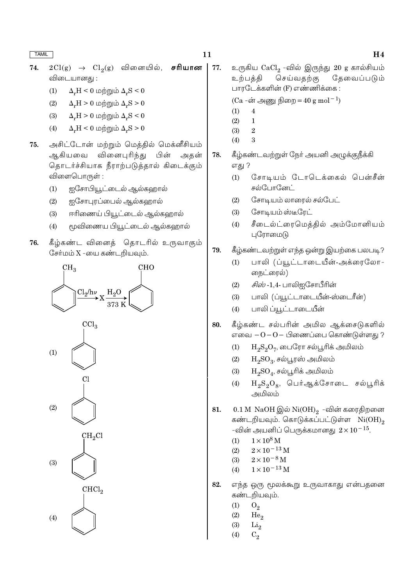TAMIL TAMIL  $11$ 

 ${\bf 74.} \quad 2\,\text{Cl(g)} \,\,\, \rightarrow \,\,\, \text{Cl}_2(\text{g}) \,\,\,$  வினையில்,  $\,\,$  சரியான விடையானது :

- (1)  $\Delta_{\rm r} H < 0$  மற்றும்  $\Delta_{\rm r} S < 0$
- (2)  $\Delta_{\rm r}$ H > 0 மற்றும்  $\Delta_{\rm r}$ S > 0
- (3)  $\Delta_{\rm r} H > 0$  மற்றும்  $\Delta_{\rm r} S < 0$
- (4)  $\Delta_{\rm r} H < 0$  மற்றும்  $\Delta_{\rm r} S > 0$
- 75. அசிட்டோன் மற்றும் மெத்தில் மெக்னீசியம் ஆகியவை வினைபுரிந்து பின் அதன் தொடர்ச்சியாக நீராற்படுத்தால் கிடைக்கும் விளைபொருள் :
	- (1) ஐசோபியூட்டைல் ஆல்கஹால்
	- (2) ஐசோபுரப்பைல் ஆல்கஹால்
	- (3) ஈரிணைய் பியூட்டைல் ஆல்கஹால்
	- (4) முவிணைய பியூட்டைல் ஆல்கஹால்
- 76. கீழ்கண்ட வினைத் தொடரில் உருவாகும் சேர்மம்  $X$  -யை கண்டறியவும்.



 $77.$  உருகிய  $CaCl<sub>2</sub>$  -வில் இருந்து  $20$  g கால்சியம் உற்பத்தி செய்வதற்கு தேவைப்படும் பாரடேக்களின் (F) எண்ணிக்கை :

(Ca -ன் அணு நிறை =  $40 \text{ g mol}^{-1}$ )

- $(1)$  4
- $(2) 1$
- (3) 2 (4) 3
- 
- 78. கீழ்கண்டவற்றுள் நேர் அயனி அழுக்குநீக்கி எகு ?
	- (1) சோடியம் டோடெக்கைல் பென்சீன் சல்போனேட்
	- $(2)$   $\mathbb G$ சாடியம் லாரைல் சல்பேட்
	- $(3)$   $\mathbb G$ சாடியம் ஸ்டீரேட்
	- (4) சீடைல்ட்ரைமெத்தில் அம்மோனியம் புரோமைடு
- 79. கீழ்கண்டவற்றுள் எந்த ஒன்று இயற்கை பலபடி?
	- (1) பாலி (ப்யூட்டாடையீன்-அக்ரைலோ-நைட்ரைல்)
	- (2) *சிஸ்* -1,4- பாலிஐசோபீரின்
	- (3) பாலி (ப்யூட்டாடையீன்-ஸ்டைரீன்)
	- (4) பாலி ப்யூட்டாடையீன்
- 80. கீழ்கண்ட சல்பரின் அமில ஆக்சைடுகளில் எவை  $-O$ − $O-$  பிணைப்பை கொண்டுள்ளது ?
	- (1)  ${\rm H_2S_2O_7}$ , பைரோ சல்பூரிக் அமிலம்
	- (2)  ${\rm H_2SO_3}$ , சல்பூரஸ் அமிலம்
	- (3)  ${\rm H_2SO_4}$ , சல்பூரிக் அமிலம்
	- (4)  ${\rm H_2S_2O_8}$ , பெர்ஆக்சோடை சல்பூரிக் ுமிலம்
- $81. \hspace{2em} 0.1\ \text{M} \,$  NaOH இல் Ni $\text{(OH)}_2 \,$  -வின் கரைதிறனை கண்டறியவும். கொடுக்கப்பட்டுள்ள  $Ni(OH)_{2}$ -வின் அயனிப் பெருக்கமானது  $2 \times 10^{-15}$ .
	- (1)  $1 \times 10^8$  M
	- (2)  $2 \times 10^{-13}$  M
	- (3)  $2 \times 10^{-8}$  M
	- (4)  $1 \times 10^{-13}$  M
- 82. எந்த ஒரு மூலக்கூறு உருவாகாது என்பதனை கண்டறியவும்.
	- $(1)$   $O_2$
	-
	- (2)  $He_2$ <br>(3)  $Li_2$  $Li<sub>2</sub>$
	- (4)  $C_2$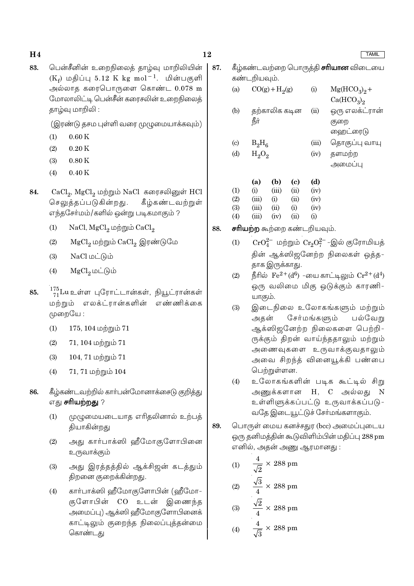- 12
- பென்சீனின் உறைநிலைக் காம்வு மாறிலியின் 83.  $(K_f)$  மதிப்பு 5.12 K kg mol<sup>-1</sup>. மின்பகுளி அல்லாத கரைபொருளை கொண்ட 0.078 m மோலாலிட்டி பென்சீன் கரைசலின் உறைநிலைத் தாழ்வு மாறிலி :

(இரண்டு தசம புள்ளி வரை முழுமையாக்கவும்)

- $(1)$  $0.60K$
- $(2)$  $0.20K$
- $(3)$  $0.80K$
- $(4)$  $0.40K$
- CaCl<sub>2</sub>, MgCl<sub>2</sub> மற்றும் NaCl கரைசலினுள் HCl 84. செலுத்தப்படுகின்றது. கீழ்கண்டவற்றுள் எந்தசோ்மம்/களில் ஒன்று படிகமாகும் ?
	- NaCl, MgCl<sub>2</sub> மற்றும் CaCl<sub>2</sub>  $(1)$
	- MgCl, மற்றும் CaCl, இரண்டுமே  $(2)$
	- $NaCl$  மட்டும்  $(3)$
	- $MgCl<sub>2</sub>$  மட்டும்  $(4)$
- 175<br>71Luஉள்ள புரோட்டான்கள், நியூட்ரான்கள் 85. மற்றும் எலக்ட்ரான்களின் எண்ணிக்கை முறையே :
	- $(1)$  $175, 104$  மற்றும்  $71$
	- $(2)$  $71, 104$  மற்றும்  $71$
	- $(3)$ 104, 71 மற்றும் 71
	- $71, 71$  மற்றும்  $104$  $(4)$
- 86. கீழ்கண்டவற்றில் கார்பன்மோனாக்சைடு குறித்து எது **சரியற்றது** ?
	- முழுமையடையாத எரிதலினால் உற்பத்  $(1)$ தியாகின்றது
	- அது கார்பாக்ஸி ஹீமோகுளோபினை  $(2)$ உருவாக்கும்
	- அது இரத்தத்தில் ஆக்சிஜன் கடத்தும்  $(3)$ திறனை குறைக்கின்றது.
	- கார்பாக்ஸி ஹீமோகுளோபின் (ஹீமோ- $(4)$ குளோபின் CO உடன் இணைந்த அமைப்பு) ஆக்ஸி ஹீமோகுளோபினைக் காட்டிலும் குறைந்த நிலைப்புக்கன்மை கொண்டது
- கீழ்கண்டவற்றை பொருத்தி **சரியான** விடையை 87. கண்டறியவும்.
	- $CO(g) + H<sub>2</sub>(g)$  $(a)$  $(i)$  $Mg(HCO<sub>2</sub>)<sub>0</sub> +$  $Ca(HCO<sub>3</sub>)<sub>2</sub>$ கற்காலிக கடின ஒரு எலக்ட்ரான்  $(b)$  $(ii)$ **пат** குறை ஹைட்ரைடு  $\left( \mathrm{c}\right)$  $B_2H_6$  $(iii)$ தொகுப்பு வாயு
	- $(d)$  $H_2O_2$  $(iv)$ தளமற்ற அமைப்பு

|                   | (a)   | (b)   | (c)  | (d)  |
|-------------------|-------|-------|------|------|
| $\left( 1\right)$ | (i)   | (iii) | (ii) | (iv) |
| (2)               | (iii) | (i)   | (ii) | (iv) |
| (3)               | (iii) | (ii)  | (i)  | (iv) |
| $\left( 4\right)$ | (iii) | (iv)  | (ii) | (i)  |

- சரியற்ற கூற்றை கண்டறியவும். 88.
	- $CrO_4^{2-}$  மற்றும்  $Cr_2O_7^{2-}$ -இல் குரோமியத்  $(1)$ தின் ஆக்ஸிஜனேற்ற நிலைகள் ஒத்த-தாக இருக்காது.
	- நீரில்  $\rm Fe^{2+}(d^6)$  -யை காட்டிலும்  $\rm Cr^{2+}(d^4)$  $(2)$ ஒரு வலிமை மிகு ஒடுக்கும் காரணி-யாகும்.
	- இடைநிலை உலோகங்களும் மற்றும்  $(3)$ சேர்மங்களும் பல்வேறு அகன் ஆக்ஸிஜனேற்ற நிலைகளை பெற்றி-ருக்கும் கிறன் வாய்ந்ததாலும் மற்றும் அணைவுகளை உருவாக்குவதாலும் அவை சிறந்த் வினையூக்கி பண்பை பெற்றுள்ளன.
	- உலோகங்களின் படிக கூட்டில் சிறு  $(4)$ அணுக்களான H, C அல்லது  $\overline{N}$ உள்ளிளுக்கப்பட்டு உருவாக்கப்படு-வதே இடையூட்டுச் சேர்மங்களாகும்.
- 89. பொருள் மைய கனச்சதுர (bcc) அமைப்புடைய ஒரு தனிமத்தின் கூடுவிளிம்பின் மதிப்பு 288 pm எனில், அகன் அணு ஆரமானது :
	- $\frac{4}{\sqrt{2}} \times 288$  pm  $(1)$
	- (2)  $\frac{\sqrt{3}}{4} \times 288 \text{ pm}$
	- (3)  $\frac{\sqrt{2}}{4} \times 288 \text{ pm}$
	- (4)  $\frac{4}{\sqrt{2}} \times 288 \text{ pm}$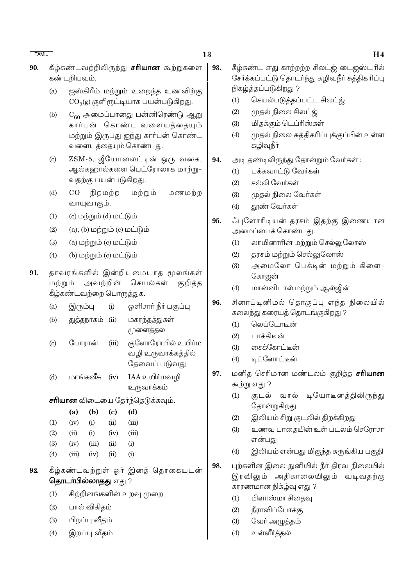- கீழ்கண்டவற்றிலிருந்து **சரியான** கூற்றுகளை 90. கண்டறியவும்.
	- ஐஸ்கிரீம் மற்றும் உறைந்த உணவிற்கு  $(a)$  $CO<sub>2</sub>(g)$  குளிரூட்டியாக பயன்படுகிறது.
	- $C_{60}$  அமைப்பானது பன்னிரெண்டு ஆறு  $(b)$ கார்பன் கொண்ட வளையத்தையும் மற்றும் இருபது ஐந்து காா்பன் கொண்ட வளையத்தையும் கொண்டது.
	- ZSM-5, ஜீயோலைட்டின் ஒரு வகை,  $\left( \mathrm{c}\right)$ ஆல்களால்களை பெட்ரோலாக மாற்று-வதற்கு பயன்படுகிறது.
	- $(d)$  $CO$ நிறமற்ற மற்றும் மணமற்ற வாயுவாகும்.
	- $(1)$ (c) மற்றும் (d) மட்டும்
	- $(2)$  $(a)$ ,  $(b)$  மற்றும்  $(c)$  மட்டும்
	- $(3)$  $(a)$  மற்றும்  $(c)$  மட்டும்
	- $(4)$  $(b)$  மற்றும்  $(c)$  மட்டும்
- 91. தாவரங்களில் இன்றியமையாத மூலங்கள் அவற்றின் மற்றும் செயல்கள் குறித்த கீழ்கண்டவற்றை பொருத்துக.
	- ஒளிசார் நீர் பகுப்பு  $(a)$ இரும்பு  $(i)$
	- மகரந்தத்துகள்  $(b)$ துத்தநாகம் (ii) முளைத்தல்
	- குளோரோபில் உயிா்ம போரான்  $(c)$  $(iii)$ வழி உருவாக்கத்தில் தேவைப் படுவது
	- மாங்கனீசு IAA உயிர்மவழி  $(d)$  $(iv)$ உருவாக்கம்
	- **சரியான** விடையை தேர்ந்தெடுக்கவும்.

|                   | (a)   | (b)   | (c)  | (d)      |
|-------------------|-------|-------|------|----------|
| (1)               | (iv)  | (i)   | (ii) | (iii)    |
| $\left( 2\right)$ | (ii)  | (i)   | (iv) | (iii)    |
| (3)               | (iv)  | (iii) | (ii) | $\rm(i)$ |
| $\left( 4\right)$ | (iii) | (iv)  | (ii) | $\rm(i)$ |
|                   |       |       |      |          |

- கீழ்கண்டவற்றுள் ஒர் இனக் கொகையுடன் 92. தொடர்பில்லாதது எது ?
	- சிற்றினங்களின் உறவு முறை  $(1)$
	- $(2)$ பால் விகிகம்
	- $(3)$ பிறப்பு வீதம்
	- இறப்பு வீகம்  $(4)$
- 93. கீழ்கண்ட எது காற்றற்ற சிலட்ஜ் டைஜஸ்டரில் சேர்க்கப்பட்டு தொடர்ந்து கழிவுநீர் சுத்திகரிப்பு நிகழ்த்தப்படுகிறது ?
	- செயல்படுத்தப்பட்ட சிலட்ஜ்  $(1)$
	- முதல் நிலை சிலட்ஜ்  $(2)$
	- மிதக்கும் டெப்ரிஸ்கள்  $(3)$
	- முதல் நிலை சுத்திகரிப்புக்குப்பின் உள்ள  $(4)$ கழிவுநீா்
- அடி தண்டிலிருந்து தோன்றும் வேர்கள்: 94.
	- பக்கவாட்டு வேர்கள்  $(1)$
	- $(2)$ சல்லி வேர்கள்
	- $(3)$ முகல் நிலை வேர்கள்
	- $(4)$ தூண் வேர்கள்
- ்புளோரிடியன் தரசம் இதற்கு இணையான 95. அமைப்பைக் கொண்டது.
	- $(1)$ லாமினாரின் மற்றும் செல்லுலோஸ்
	- தரசம் மற்றும் செல்லுலோஸ்  $(2)$
	- அமைலோ பெக்டின் மற்றும் கிளை- $(3)$ கோஜன்
	- மான்னிடால் மற்றும் ஆல்ஜின்  $(4)$
- சினாப்டினிமல் தொகுப்பு எந்த நிலையில் 96. கலைந்து கரையத் தொடங்குகிறது ?
	- லெப்டோடீன்  $(1)$
	- பாக்கிடீன்  $(2)$
	- சைக்கோட்டீன்  $(3)$
	- டிப்ளோட்டீன்  $(4)$
- மனித செரிமான மண்டலம் குறித்த **சரியான** 97. கூற்று எது ?
	- டியோடீனத்திலிருந்து குடல் வால்  $(1)$ தோன்றுகிறது
	- $(2)$ இலியம் சிறு குடலில் திறக்கிறது
	- உணவு பாதையின் உள் படலம் செரோசா  $(3)$ என்பகு
	- இலியம் என்பது மிகுந்த சுருங்கிய பகுதி  $(4)$
- புற்களின் இலை நுனியில் நீர் திரவ நிலையில் 98. இரவிலும் அதிகாலையிலும் வடிவதற்கு காரணமான நிக்ழ்வு எது ?
	- பிளாஸ்மா சிதைவு  $(1)$
	- நீராவிப்போக்கு  $(2)$
	- வேர் அழுத்தம்  $(3)$
	- உள்ளீர்த்தல்  $(4)$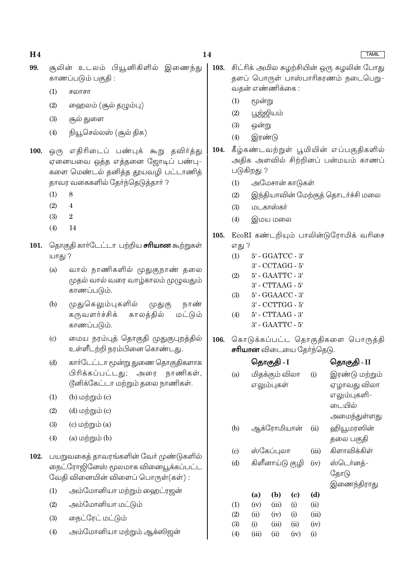- 99. சூலின் உடலம் பியூனிகிளில் இணைந்து காணப்படும் பகுதி :
	- $(1)$ சலாசா
	- ஹைலம் (சூல் தழும்பு)  $(2)$
	- $(3)$ சூல் துளை
	- நியூசெல்லஸ் (சூல் திசு)  $(4)$
- 100. ஒரு எதிரிடைப் பண்புக் கூறு தவிர்த்து ஏனையவை ஒத்த எத்தனை ஜோடிப் பண்பு-களை மெண்டல் தனித்த தூயவழி பட்டாணித் தாவர வகைகளில் தேர்ந்தெடுத்தார் ?
	- 8  $(1)$
	- $(2)$  $\overline{4}$
	- $(3)$  $\overline{2}$
	- $(4)$  $14$
- 101. தொகுதி கார்டேட்டா பற்றிய சரியான கூற்றுகள் யாது ?
	- $(a)$ வால் நாணிகளில் முதுகுநாண் தலை முதல் வால் வரை வாழ்காலம் முழுவதும் காணப்படும்.
	- முதுகெலும்புகளில்  $(b)$ நாண் முதுகு கருவளர்ச்சிக் காலக்கில் மட்டும் காணப்படும்.
	- மைய நரம்புத் தொகுதி முதுகுபுறத்தில்  $(c)$ உள்ளீடற்றி நரம்பினை கொண்டது.
	- $(d)$ கார்டேட்டா மூன்று துணை தொகுதிகளாக பிரிக்கப்பட்டது; அரை நாணிகள், டூனிக்கேட்டா மற்றும் தலை நாணிகள்.
	- (b)  $\omega$ ற்றும் (c)  $(1)$
	- $(2)$  $(d)$  மற்றும் $(c)$
	- $(3)$  $(c)$  மற்றும்  $(a)$
	- $(a)$  மற்றும்  $(b)$  $(4)$
- 102. பயறுவகைக் காவரங்களின் வேர் முண்டுகளில் நைட்ரோஜினேஸ் மூலமாக வினையூக்கப்பட்ட வேதி வினையின் விளைப் பொருள்(கள்) :
	- $(1)$ அம்மோனியா மற்றும் ஹைட்ரஜன்
	- அம்மோனியா மட்டும்  $(2)$
	- $(3)$ நைட்ரேட் மட்டும்
	- அம்மோனியா மற்றும் ஆக்ஸிஜன்  $(4)$
- சிட்ரிக் அமில சுமற்சியின் ஒரு சுமலின் போது 103. தளப் பொருள் பாஸ்பாரிகரணம் நடைபெறு-வகன் எண்ணிக்கை :
	- $(1)$ மூன்று
	- $(2)$ பூஜ்ஜியம்
	- $(3)$ ஒன்று
	- $(4)$ இரண்டு
- கீழ்கண்டவற்றுள் பூமியின் எப்பகுதிகளில் அதிக அளவில் சிற்றினப் பன்மயம் காணப் படுகிறது ?
	- அமேசான் காடுகள்  $(1)$
	- இந்தியாவின் மேற்குத் தொடர்ச்சி மலை  $(2)$
	- மடகாஸ்கர்  $(3)$
	- $(4)$ இமய மலை
- 105. EcoRI கண்டறியும் பாலின்டுரோமிக் வரிசை எது ?
	- 5' GGATCC 3'  $(1)$  $3'$  - CCTAGG -  $5'$
	- 5' GAATTC 3'  $(2)$ 
		- $3'$   $CTTAAG 5'$
	- $(3)$ 5' - GGAACC - 3'
	- 3' CCTTGG 5'
	- $(4)$ 5' - CTTAAG - 3'
		- 3' GAATTC 5'
- 106. கொடுக்கப்பட்ட தொகுதிகளை பொருத்தி **சரியான** விடையை தேர்ந்தெடு.

|     |       | தொகுதி - I      |      |       | தொகுதி - II    |
|-----|-------|-----------------|------|-------|----------------|
| (a) |       | மிதக்கும் விலா  |      | (i)   | இரண்டு மற்றும் |
|     |       | எலும்புகள்      |      |       | ஏழாவது விலா    |
|     |       |                 |      |       | எலும்புகளி-    |
|     |       |                 |      |       | டையில்         |
|     |       |                 |      |       | அமைந்துள்ளது   |
| (b) |       | ஆக்ரோமியான்     |      | (ii)  | ஹியூமரஸின்     |
|     |       |                 |      |       | தலை பகுதி      |
| (c) |       | ஸ்கேப்புலா      |      | (iii) | கிளாவிக்கிள்   |
| (d) |       | கிளீனாய்டு குழி |      | (iv)  | ஸ்டெர்னத்-     |
|     |       |                 |      |       | தோடு           |
|     |       |                 |      |       | இணைந்திராது    |
|     | (a)   | (b)             | (c)  | (d)   |                |
| (1) | (iv)  | (iii)           | (i)  | (ii)  |                |
| (2) | (ii)  | (iv)            | (i)  | (iii) |                |
| (3) | (i)   | (iii)           | (ii) | (iv)  |                |
| (4) | (iii) | (ii)            | (iv) | (i)   |                |

104.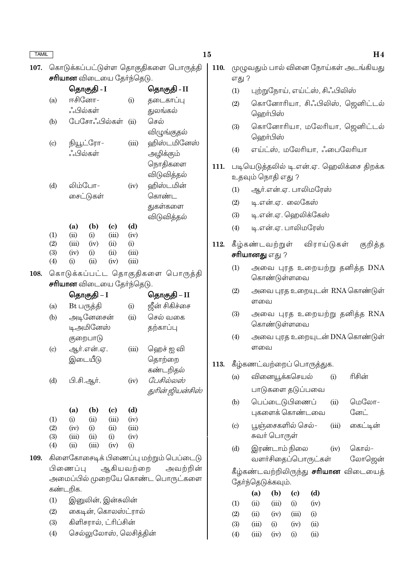108.

#### 15

| 107. கொடுக்கப்பட்டுள்ள தொகுதிகளை பொருத்தி |  |
|-------------------------------------------|--|
| <b>சரியான</b> விடையை தேர்ந்தெடு.          |  |
|                                           |  |

|                            |               | தொகுதி - I    |                                 |             | தொகுதி - II                      |  |
|----------------------------|---------------|---------------|---------------------------------|-------------|----------------------------------|--|
| (a)                        |               | ஈசினோ–        |                                 |             | தடைகாப்பு                        |  |
|                            |               | ஂஃபில்கள்     |                                 |             | துலங்கல்                         |  |
| (b)                        |               |               | பேசோஃபில்கள்                    | (ii)        | செல்                             |  |
|                            |               |               |                                 |             | விழுங்குதல்                      |  |
| $\left( \mathrm{c}\right)$ |               | நியூட்ரோ–     |                                 | (iii)       | ஹிஸ்டமினேஸ்                      |  |
|                            |               | ஂஃபில்கள்     |                                 |             | அழிக்கும்                        |  |
|                            |               |               |                                 |             | நொதிகளை                          |  |
|                            |               |               |                                 |             | விடுவித்தல <mark>்</mark>        |  |
| (d)                        |               | லிம்போ–       |                                 | (iv)        | ஹிஸ்டமின்                        |  |
|                            |               | சைட்டுகள்     |                                 |             | கொண்ட                            |  |
|                            |               |               |                                 |             | துகள்களை                         |  |
|                            |               |               |                                 |             | விடுவித்தல்                      |  |
|                            | (a)           | (b)           | (c)                             | (d)         |                                  |  |
| (1)                        | (ii)          | (i)           | (iii)                           | (iv)        |                                  |  |
| (2)                        | (iii)         | (iv)          | (ii)                            | (i)         |                                  |  |
|                            |               |               | (ii)                            | (iii)       |                                  |  |
| (3)                        | (iv)          | $\rm(i)$      |                                 |             |                                  |  |
| (4)                        | (i)           | (ii)          | (iv)                            | (iii)       |                                  |  |
|                            |               |               |                                 |             | கொடுக்கப்பட்ட தொகுதிகளை பொருத்தி |  |
|                            |               |               | <b>சாியான</b> விடையை தோ்ந்தெடு. |             |                                  |  |
|                            |               | தொகுதி – I    |                                 |             | தொகுதி – II                      |  |
| (a)                        |               | Bt பருத்தி    |                                 | (i)         | ஜீன் சிகிச்சை                    |  |
| (b)                        |               | அடினேசைன்     |                                 | (ii)        | செல் வகை                         |  |
|                            |               | டிஅமினேஸ்     |                                 |             | தற்காப்பு                        |  |
|                            |               | குறைபாடு      |                                 |             |                                  |  |
|                            |               | ஆர்.என்.ஏ.    |                                 | (iii)       | ஹெச் ஐ வி                        |  |
| $\left( \mathrm{c}\right)$ |               |               |                                 |             |                                  |  |
|                            |               | இடையீடு       |                                 |             | தொற்றை                           |  |
| (d)                        |               |               |                                 | (iv)        | கண்டறிதல்<br>பேசில்லஸ்           |  |
|                            |               | பி.சி.ஆர்.    |                                 |             | துரின் ஜியன்சிஸ்                 |  |
|                            | (a)           | (b)           | $\left( \mathrm{c}\right)$      | (d)         |                                  |  |
| (1)                        | (i)           | (ii)          | (iii)                           | (iv)        |                                  |  |
| (2)                        | (iv)          | (i)           | (ii)                            | (iii)       |                                  |  |
| (3)<br>(4)                 | (iii)<br>(ii) | (ii)<br>(iii) | (i)<br>(iv)                     | (iv)<br>(i) |                                  |  |

- 109. ြ) கிளைகோசைடிக பிணைபபு பற்று ஆகியவற்றை அவற்றின் பிணைப்பு அமைப்பில் முறையே கொண்ட பொருட்களை கண்டறிக.
	- $(1)$ இனுலின், இன்சுலின்
	- $(2)$ கைடின், கொலஸ்ட்ரால்
	- கிளிசரால், ட்ரிப்சின்  $(3)$
	- செல்லுலோஸ், லெசித்தின்  $(4)$
- முழுவதும் பால் வினை நோய்கள் அடங்கியது **110.** எது ?
	- புற்றுநோய், எய்ட்ஸ், சிஃபிலிஸ்  $(1)$
	- கொனோரியா, சிஃபிலிஸ், ஜெனிட்டல்  $(2)$ ஹெர்பிஸ்
	- கொனோரியா, மலேரியா, ஜெனிட்டல்  $(3)$ வெரா்பிஸ்
	- எய்ட்ஸ், மலேரியா, ஃபைலேரியா  $(4)$
- 111. படியெடுத்தலில் டி.என்.ஏ. ஹெலிக்சை திறக்க உதவும் நொதி எது ?
	- ஆர்.என்.ஏ. பாலிமரேஸ்  $(1)$
	- $(2)$ டி.என்.ஏ. லைகேஸ்
	- $(3)$ டி.என்.ஏ. ஹெலிக்கேஸ்
	- டி.என்.ஏ. பாலிமரேஸ்  $(4)$
- 112. கீழ்கண்டவற்றுள் விராய்டுகள் குறித்த **சரியானது** எது ?
	- அவை புரத உறையற்று தனித்த DNA  $(1)$ கொண்டுள்ளவை
	- அவை புரத உறையுடன் RNA கொண்டுள்  $(2)$ ளவை
	- அவை புரத உறையற்று தனித்த RNA  $(3)$ கொண்டுள்ளவை
	- அவை புரத உறையுடன் DNA கொண்டுள்  $(4)$ ளவை
- 113. கீழ்கணட்வற்றைப் பொருத்துக.

| (a) | வினையூக்கசெயல்   | (i)  | ரிசின் |
|-----|------------------|------|--------|
|     | பாடுகளை தடுப்பவை |      |        |
| (b) | பெப்டைடுபிணைப்   | (ii) | மெலோ–  |

- புகளைக் கொண்டவை ோ்.
- பூஞ்சைகளில் செல்–  $(iii)$ கைட்டின்  $\left( \mathrm{c}\right)$ சுவர் பொருள்
- இரண்டாம் நிலை  $(d)$  $(iv)$ கொல்– வளர்சிதைப்பொருட்கள் லோஜென்

கீழ்கண்டவற்றிலிருந்து **சரியான** விடையைத் தேர்ந்தெடுக்கவும்.

|     | (a)   | (b)   | (c)   | (d)  |
|-----|-------|-------|-------|------|
| (1) | (ii)  | (iii) | (i)   | (iv) |
| (2) | (ii)  | (iv)  | (iii) | (i)  |
| (3) | (iii) | (i)   | (iv)  | (ii) |
| (4) | (iii) | (iv)  | (i)   | (ii) |

#### H<sub>4</sub>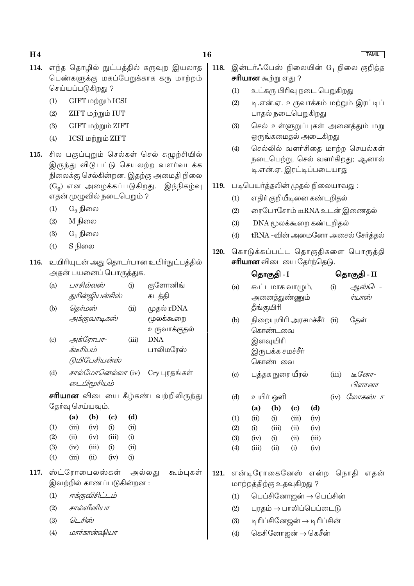- 114. எந்த தொழில் நுட்பத்தில் கருவுற இயலாத பெண்களுக்கு மகப்பேறுக்காக கரு மாற்றம் செய்யப்படுகிறது ?
	- GIFT மற்றும் ICSI  $(1)$
	- ZIFT மற்றும் IUT  $(2)$
	- $(3)$ GIFT மற்றும் ZIFT
	- $(4)$ ICSI மற்றும் ZIFT
- 115. சில பகுப்புறும் செல்கள் செல் சுழுற்சியில் இருந்து விடுபட்டு செயலற்ற வளர்வடக்க நிலைக்கு செல்கின்றன. இதற்கு அமைதி நிலை  $(G_0)$  என அழைக்கப்படுகிறது. இந்நிகழ்வு எதன் முழுவில் நடைபெறும் ?
	- $(1)$  $G_2$  நிலை
	- M நிலை  $(2)$
	- $G_1$  நிலை  $(3)$
	- $(4)$ S நிலை
- 116. உயிரியுடன் அது தொடர்பான உயிர்நுட்பத்தில் அதன் பயனைப் பொருத்துக.
	- பாசில்லஸ் குளோனிங்  $(a)$  $(i)$ துரின்ஜியன்சிஸ் கடத்தி  $(b)$ தெர்மஸ்  $(ii)$ முதல்  $rDNA$ அக்குவாடிகஸ் மூலக்கூறை உருவாக்குதல் அக்ரோபா- $\left( \text{c} \right)$  $(iii)$ **DNA** க்டீரியம் பாலிமரேஸ் டுமிபேசியன்ஸ் சால்மோனெல்லா (iv)  $(d)$  $Cry$  புரதங்கள் டைபிமூரியம்
	- சரியான விடையை கீழ்கண்டவற்றிலிருந்து தேர்வு செய்யவும்.

|                   | (a)   | (b)   | (c)   | (d)  |
|-------------------|-------|-------|-------|------|
| $\left( 1\right)$ | (iii) | (iv)  | (i)   | (ii) |
| $\left( 2\right)$ | (ii)  | (iv)  | (iii) | (i)  |
| (3)               | (iv)  | (iii) | (i)   | (ii) |
| $\left( 4\right)$ | (iii) | (ii)  | (iv)  | (i)  |

- 117. ஸ்ட்ரோபைலஸ்கள் அல்லது கூம்புகள் இவற்றில் காணப்படுகின்றன :
	- ஈக்குவிசிட்டம்  $(1)$
	- சால்வீனியா  $(2)$
	- டொிஸ்  $(3)$
	- மார்கான்ஷியா  $(4)$
- இன்டர்ஃபேஸ் நிலையின் G1 நிலை குறித்த 118. **சரியான** கூற்று எது ?
	- உட்கரு பிரிவு நடை பெறுகிறது  $(1)$
	- $(2)$ டி.என்.ஏ. உருவாக்கம் மற்றும் இரட்டிப் பாதல் நடைபெறுகிறது
	- செல் உள்ளுறுப்புகள் அனைத்தும் மறு  $(3)$ ஒருங்கமைதல் அடைகிறது
	- செல்லில் வளர்சிதை மாற்ற செயல்கள்  $(4)$ நடைபெற்று, செல் வளர்கிறது; ஆனால் டி.என்.ஏ. இரட்டிப்படையாது
- 119. படிபெயர்த்தலின் முதல் நிலையாவது :
	- எதிர் குறியீடினை கண்டறிதல்  $(1)$
	- ரைபோசோம் mRNA உடன் இணைதல்  $(2)$
	- $(3)$ DNA மூலக்கூறை கண்டறிதல்
	- tRNA -வின் அமைனோ அசைல் சேர்த்தல்  $(4)$
- கொடுக்கப்பட்ட தொகுதிகளை பொருத்தி 120. **சரியான** விடையை தேர்ந்தெடு.

|      |                            | தொகுதி - I                |                   |       |                        | தொகுதி - II |                        |                                                       |
|------|----------------------------|---------------------------|-------------------|-------|------------------------|-------------|------------------------|-------------------------------------------------------|
|      | (a)                        |                           | கூட்டமாக வாழும்,  |       |                        | (i)         |                        | ஆஸ்டெ-                                                |
|      |                            |                           | அனைத்துண்ணும்     |       |                        |             | ர்யாஸ்                 |                                                       |
|      |                            | தீங்குயிரி                |                   |       |                        |             |                        |                                                       |
|      | (b)                        |                           |                   |       | நிறையுயிரி அரசமச்சீர்  | (ii)        | தேள்                   |                                                       |
|      |                            |                           | கொண்டவை           |       |                        |             |                        |                                                       |
|      |                            |                           | இளவுயிரி          |       |                        |             |                        |                                                       |
|      |                            |                           | இருபக்க சமச்சீா்  |       |                        |             |                        |                                                       |
|      |                            |                           | கொண்டவை           |       |                        |             |                        |                                                       |
|      | $\left( \mathrm{c}\right)$ |                           | புத்தக நுரை யீரல் |       |                        |             | $(iii)$ Le Con $\pi$ - |                                                       |
|      |                            |                           |                   |       |                        |             |                        | பிளானா                                                |
|      | (d)                        |                           | உயிர் ஒளி         |       |                        |             |                        | (iv) $\mathcal C\omega\pi\mathcal s\dot\omega\bot\pi$ |
|      |                            | (a)                       | (b)               | (c)   | (d)                    |             |                        |                                                       |
|      | (1)                        | (ii)                      | (i)               | (iii) | (iv)                   |             |                        |                                                       |
|      | (2)                        |                           | $(i)$ $(iii)$     | (ii)  | (iv)                   |             |                        |                                                       |
|      | (3)                        |                           | $(iv)$ (i) (ii)   |       | (iii)                  |             |                        |                                                       |
|      | (4)                        | (iii)                     | (ii)              | (i)   | (iv)                   |             |                        |                                                       |
|      |                            |                           |                   |       |                        |             |                        |                                                       |
| 121. |                            |                           |                   |       |                        |             |                        | என்டிரோகைனேஸ் என்ற நொதி எதன்                          |
|      |                            | மாற்றத்திற்கு உதவுகிறது ? |                   |       |                        |             |                        |                                                       |
|      | (1)                        |                           |                   |       | பெப்சினோஜன் → பெப்சின் |             |                        |                                                       |

- புரதம் → பாலிப்பெப்டைடு  $(2)$
- $(3)$ டிரிப்சினேஜன் → டிரிப்சின்
- கெசினோஜன் → கெசீன்  $(4)$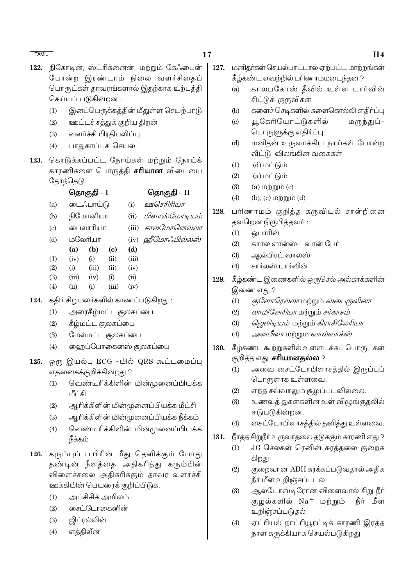- 17
- 122. நிகோடின், ஸ்ட்ரிக்னைன், மற்றும் கேஃபைன் போன்ற இரண்டாம் நிலை வளர்சிதைப் பொருட்கள் தாவரங்களால் இதற்காக உற்பத்தி செய்யப் படுகின்றன :
	- இனப்பெருக்கத்தின் மீதுள்ள செயற்பாடு  $(1)$
	- ஊட்டச் சத்துக் குறிய திறன்  $(2)$
	- வளர்ச்சி பிரதிபலிப்பு  $(3)$
	- பாதுகாப்புச் செயல்  $(4)$
- கொடுக்கப்பட்ட நோய்கள் மற்றும் நோய்க் 123. காரணிகளை பொருத்தி **சரியான** விடையை தேர்ந்தெடு.

|                            | தொகுதி – I |           |       |       | தொகுதி – II       |
|----------------------------|------------|-----------|-------|-------|-------------------|
| (a)                        |            | டைஃபாய்டு |       | (i)   | ஊசெரிரியா         |
| (b)                        |            | நிமோனியா  |       | (ii)  | பிளாஸ்மோடியம்     |
| $\left( \mathrm{c}\right)$ |            | பைலாரியா  |       | (iii) | சால்மோனெல்லா      |
| (d)                        |            | மலேரியா   |       |       | (iv) ஹீமோஃபில்லஸ் |
|                            | (a)        | (b)       | (c)   | (d)   |                   |
| $\left(1\right)$           | (iv)       | (i)       | (ii)  | (iii) |                   |
| (2)                        | (i)        | (iii)     | (ii)  | (iv)  |                   |
| (3)                        | (iii)      | (iv)      | (i)   | (ii)  |                   |
| $\left( 4\right)$          | (ii)       | (i)       | (iii) | (iv)  |                   |
|                            |            |           |       |       |                   |

- 124. கதிர் சிறுமலர்களில் காணப்படுகிறது:
	- அரைகீழ்மட்ட சூலகப்பை  $(1)$
	- $(2)$ கீழ்மட்ட சூலகப்பை
	- மேல்மட்ட சூலகப்பை  $(3)$
	- ஹைப்போகைனஸ் சூலகப்பை  $(4)$
- ஒரு இயல்பு ECG -யில் QRS கூட்டமைப்பு 125. எதனைகக்குறிக்கின்றது ?
	- வெண்டிரிக்கிளின் மின்முனைப்பியக்க  $(1)$ <u> மீட்சி</u>
	- ஆரிக்கிளின் மின்முனைப்பியக்க மீட்சி  $(2)$
	- ஆரிக்கிளின் மின்முனைப்பியக்க நீக்கம்  $(3)$
	- வெண்டிரிக்கிளின் மின்முனைப்பியக்க  $(4)$ நீக்கம்
- 126. கரும்புப் பயிரின் மீது தெளிக்கும் போது தண்டின் நீளத்தை அதிகரித்து கரும்பின் விளைச்சலை அதிகரிக்கும் தாவர வளர்ச்சி ஊக்கியின் பெயரைக் குறிப்பிடுக.
	- அப்சிசிக் அமிலம்  $(1)$
	- சைட்டோகைனின்  $(2)$
	- $(3)$ ஜிப்ரல்லின்
	- எத்திலீன்  $(4)$
- $127.$ மனிதர்கள் செயல்பாட்டால் ஏற்பட்ட மாற்றங்கள் கீழ்கண்ட எவற்றில் பரிணாமமடைந்தன ?
	- காலபகோஸ் தீவில் உள்ள டார்வின்  $(a)$ சிட்டுக் குருவிகள்
	- களைச் செடிகளில் களைகொல்லி எதிா்ப்பு  $(b)$
	- யூகேரியோட்டுகளில் மருந்துப் - $(c)$ பொருளுக்கு எதிர்ப்பு
	- மனிதன் உருவாக்கிய நாய்கள் போன்ற  $(d)$ வீட்டு விலங்கின வகைகள்
	- $(1)$  $(d)$  மட்டும்
	- $(a)$  மட்டும்  $(2)$
	- $(3)$  $(a)$  மற்றும் $(c)$
	- $(4)$ (b),  $(c)$  மற்றும்  $(d)$
- 128. பரிணாமம் குறித்த கருவியல் சான்றினை தவறென நிரூபித்தவர்:
	- வொரின்  $(1)$
	- கார்ல் எர்ன்ஸ்ட் வான் பேர்  $(2)$
	- $(3)$ ஆல்பிரட் வாலஸ்
	- சார்லஸ் டார்வின்  $(4)$
- 129. கீழ்கண்ட இணைகளில் ஒருசெல் அல்காக்களின் இணை எது ?
	- குளோரெல்லா மற்றும் ஸ்பைரூலினா  $(1)$
	- லாமினேரியா மற்றும் சர்காசம்  $(2)$
	- ஜெலிடியம் மற்றும் கிராசிலேரியா  $(3)$
	- *அனபீனா* மற்றும *வால்வாக்ஸ்*  $(4)$
- கீழ்கண்ட கூற்றுகளில் உள்ளடக்கப் பொருட்கள் 130. குறித்த எது **சாியானதல்ல** ?
	- அவை சைட்டோபிளாசத்தில் இருப்புப்  $(1)$ பொருளாக உள்ளவை.
	- எந்த சவ்வாலும் சூழப்படவில்லை.  $(2)$
	- $(3)$ உணவுத் துகள்களின் உள் விழுங்குதலில் ஈடுபடுகின்றன.
	- சைட்டோபிளாசத்தில் தனித்து உள்ளவை.  $(4)$
- 131. நீா்த்த சிறுநீா் உருவாதலை தடுக்கும் காரணி எது ?
	- JG செல்கள் ரெனின் சுரத்தலை குறைக்  $(1)$ கிறது
	- குறைவான ADH சுரக்கப்படுவதால் அதிக  $(2)$ நீர் மீள உறிஞ்சப்படல்
	- $(3)$ ஆல்டோஸ்டிரோன் விளைவால் சிறு நீர் குழல்களில் Na<sup>+</sup> மற்றும் நீர் மீள உறிஞ்சப்படுதல்
	- ஏட்ரியல் நாட்ரியூரட்டிக் காரணி இரக்க  $(4)$ நாள சுருக்கியாக செயல்படுகிறது

## H<sub>4</sub>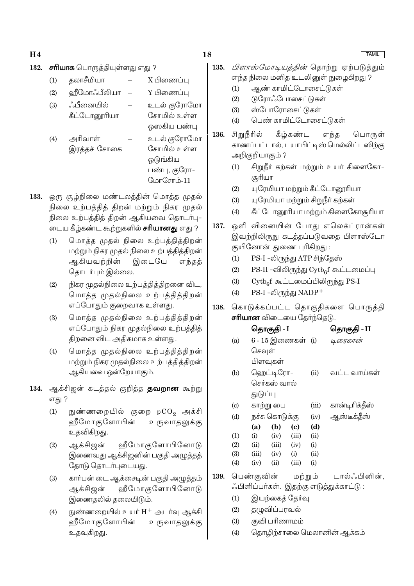- 18
- 132. **சரியாக** பொருத்தியுள்ளது எது ?
	- தலாசீமியா X பிணைப்ப  $(1)$
	- வீமோஃபீலியா Y பிணைப்ப  $(2)$
	- உடல் குரோமோ  $(3)$ ஂஂபீனையில் கீட்டோரைரியா சோமில் உள்ள ஒஸ்கிய பண்பு
	- $(4)$ அரிவாள் உடல் குரோமோ சோமில் உள்ள இரத்தச் சோகை ஒடுங்கிய பண்பு, குரோ-
- $C<sub>1</sub>$ nn $C<sub>2</sub>$ mnin-11 133. ஒரு சூழ்நிலை மண்டலத்தின் மொத்த முதல் நிலை உற்பத்தித் திறன் மற்றும் நிகர முதல்

நிலை உற்பத்தித் திறன் ஆகியவை தொடர்பு-டைய கீழ்கண்ட கூற்றுகளில் **சரியானது** எது ?

- மொத்த முதல் நிலை உற்பத்தித்திறன்  $(1)$ மற்றும் நிகர முதல் நிலை உற்பத்தித்திறன் ஆகியவற்றின் இடையே எந்தத் தொடர்பும் இல்லை.
- $(2)$ நிகர முதல்நிலை உற்பத்தித்திறனை விட, மொத்த முதல்நிலை உற்பத்தித்திறன் எப்போதும் குறைவாக உள்ளது.
- மொத்த முதல்நிலை உற்பத்தித்திறன்  $(3)$ எப்போதும் நிகர முதல்நிலை உற்பத்தித் திறனை விட அதிகமாக உள்ளது.
- மொத்த முதல்நிலை உற்பத்தித்திறன்  $(4)$ மற்றும் நிகர முதல்நிலை உற்பத்தித்திறன் ஆகியவை ஒன்றேயாகும்.
- 134. ஆக்சிஜன் கடத்தல் குறித்த தவறான கூற்று எது ?
	- நுண்ணறையில் குறை pCO<sub>2</sub> அக்சி  $(1)$ ஹீமோகுளோபின் உருவாதலுக்கு உதவிகிறது.
	- ஆக்சிஜன் ஹீமோகுளோபினோடு  $(2)$ இணைவது ஆக்சிஜனின் பகுதி அழுத்தத் தோடு தொடர்புடையது.
	- கார்பன் டை ஆக்சைடின் பகுதி அழுத்தம்  $(3)$ ஹீமோகுளோபினோடு ஆக்சிஜன் இணைதலில் தலையிடும்.
	- நுண்ணறையில் உயர் H<sup>+</sup> அடர்வு ஆக்சி  $(4)$ வீமோகுளோபின் உருவாகலுக்கு உதவுகிறது.
- *பிளாஸ்மோடியக்கின்* கொற்று ஏற்படுக்கும் 135. எந்த நிலை மனித உடலினுள் நுழைகிறது ?
	- ஆண் காமிட்டோசைட்டுகள்  $(1)$
	- டுரோஃபோசைட்டுகள்  $(2)$
	- $(3)$ ஸ்போரோசைட்டுகள்
	- பெண் காமிட்டோசைட்டுகள்  $(4)$
- 136. சிறுநீரில் கீழ்கண்ட எந்த பொருள் காணப்பட்டால், டயாபிட்டிஸ் மெல்லிட்டஸிற்கு அறிகுறியாகும் ?
	- சிறுநீர் கற்கள் மற்றும் உயர் கிளைகோ–  $(1)$ சூரியா
	- யுரேமியா மற்றும் கீட்டோரைரியா  $(2)$
	- யுரேமியா மற்றும் சிறுநீா் கற்கள்  $(3)$
	- கீட்டோரைரியா மற்றும் கிளைகோசூரியா  $(4)$
- ஒளி வினையின் போது எலெக்ட்ரான்கள் 137. இவற்றிலிருநு கடத்தப்படுவதை பிளாஸ்டோ குயினோன் துணை புரிகிறது:
	- PS-I -லிருந்து ATP சிந்தேஸ்  $(1)$
	- PS-II -விலிருந்து Cytb<sub>6</sub>f கூட்டமைப்பு  $(2)$
	- $\mathrm{Cytb}_{\alpha} \mathrm{f}$  கூட்டமைப்பிலிருந்து  $\mathrm{PS}\text{-}\mathrm{I}$  $(3)$
	- $(4)$  $PS-I$  -லிருந்து  $NADP$ <sup>+</sup>
- கொடுக்கப்பட்ட தொகுதிகளை பொருத்தி 138. **சரியான** விடையை தேர்ந்தெடு.

|                                      |                                         |                | ெதாகுதி - I       | ெதாகுதி - II |       |                |  |  |  |  |  |
|--------------------------------------|-----------------------------------------|----------------|-------------------|--------------|-------|----------------|--|--|--|--|--|
|                                      | (a)                                     |                | 6 - 15 இணைகள் (i) |              |       | டிரைகான்       |  |  |  |  |  |
|                                      |                                         | செவுள்         |                   |              |       |                |  |  |  |  |  |
|                                      |                                         | பிளவுகள்       |                   |              |       |                |  |  |  |  |  |
|                                      | (b)                                     |                | ஹெட்டிரோ–         |              | (ii)  | வட்ட வாய்கள்   |  |  |  |  |  |
|                                      |                                         |                | செர்கஸ் வால்      |              |       |                |  |  |  |  |  |
|                                      |                                         | துடுப்பு       |                   |              |       |                |  |  |  |  |  |
|                                      | $\left( \mathrm{c}\right)$              | காற்று பை      |                   |              | (iii) | கான்டிரிக்தீஸ் |  |  |  |  |  |
|                                      | (d)                                     | நச்சு கொடுக்கு |                   |              | (iv)  | ஆஸ்டீக்தீஸ்    |  |  |  |  |  |
|                                      |                                         | (a)            | (b)               | (c)          | (d)   |                |  |  |  |  |  |
|                                      | (1)                                     | (i)            | (iv)              | (iii)        | (ii)  |                |  |  |  |  |  |
|                                      | (2)                                     | (ii)           | (iii)             | (iv)         | (i)   |                |  |  |  |  |  |
|                                      | (3)                                     | (iii)          | (iv)              | (i)          | (ii)  |                |  |  |  |  |  |
|                                      | (4)                                     | (iv)           | (ii)              | (iii)        | (i)   |                |  |  |  |  |  |
| டால்ஃபினின்<br>பெண்குவின்<br>மற்றும் |                                         |                |                   |              |       |                |  |  |  |  |  |
|                                      | ஃபிளிப்பா்கள். இதற்கு எடுத்துக்காட்டு : |                |                   |              |       |                |  |  |  |  |  |
|                                      |                                         |                |                   |              |       |                |  |  |  |  |  |

- இயற்கைத் தேர்வு  $(1)$
- தழுவிப்பரவல்  $(2)$

139.

- குவி பரிணாமம்  $(3)$
- $(4)$ தொழிற்சாலை மெலானின் ஆக்கம்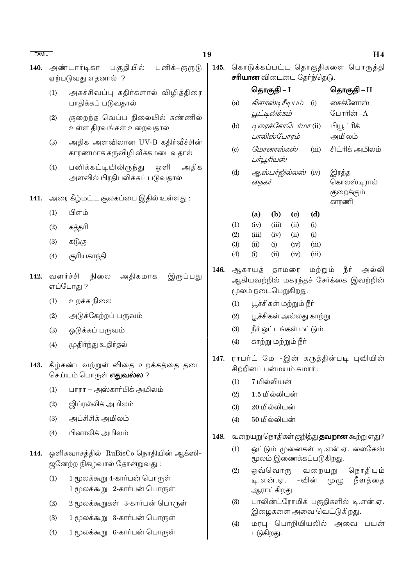| <b>TAMIL</b> |                                                                        |                                                                                                                                                                                                                                                                  | 19   |                                                                                                        |                                                                                |                                                                        |              | H <sub>4</sub>                                   |  |  |
|--------------|------------------------------------------------------------------------|------------------------------------------------------------------------------------------------------------------------------------------------------------------------------------------------------------------------------------------------------------------|------|--------------------------------------------------------------------------------------------------------|--------------------------------------------------------------------------------|------------------------------------------------------------------------|--------------|--------------------------------------------------|--|--|
| 140.         |                                                                        | பகுதியில்<br>பனிக்–குருடு<br>அண்டார்டிகா<br>ஏற்படுவது எதனால் ?                                                                                                                                                                                                   | 145. |                                                                                                        | சரியான விடையை தேர்ந்தெடு.                                                      | கொடுக்கப்பட்ட தொகுதிகளை பொருத்தி                                       |              |                                                  |  |  |
|              | (1)                                                                    | அகச்சிவப்பு கதிர்களால் விழித்திரை<br>பாதிக்கப் படுவதால்<br>குறைந்த வெப்ப நிலையில் கண்ணில்<br>உள்ள திரவங்கள் உறைவதால்<br>அதிக அளவிலான UV-B கதிர்வீச்சின்<br>காரணமாக கருவிழி வீக்கமடைவதால்<br>பனிக்கட்டியிலிருந்து<br>ஒளி<br>அதிக<br>அளவில் பிரதிபலிக்கப் படுவதால் |      |                                                                                                        | தொகுதி – I                                                                     |                                                                        |              | தொகுதி – II                                      |  |  |
|              |                                                                        |                                                                                                                                                                                                                                                                  |      | (a)                                                                                                    | கிளாஸ்டிரீடியம்<br>பூட்டிலிக்கம்                                               |                                                                        | (i)          | சைக்ளோஸ்<br>போரின் –A                            |  |  |
|              | (2)                                                                    |                                                                                                                                                                                                                                                                  |      | (b)                                                                                                    |                                                                                | டிரைக்கோடெர்மா (ii)<br>பாலிஸ்போரம்<br>மோனாஸ்கஸ்<br>(iii)<br>பர்பூரியஸ் |              | பியூட்ரிக்<br>அமிலம்                             |  |  |
|              | (3)                                                                    |                                                                                                                                                                                                                                                                  |      | (c)                                                                                                    |                                                                                |                                                                        |              | சிட்ரிக் அமிலம்                                  |  |  |
|              | (4)                                                                    |                                                                                                                                                                                                                                                                  |      | (d)                                                                                                    | <i>ஆஸ்பர்ஜில்லஸ்</i> (iv)<br>நைகர்                                             |                                                                        |              | இரத்த<br>கொலஸ்டிரால்                             |  |  |
| 141.         |                                                                        | அரை கீழ்மட்ட சூலகப்பை இதில் உள்ளது :                                                                                                                                                                                                                             |      |                                                                                                        |                                                                                |                                                                        |              | குறைக்கும்<br>காரணி                              |  |  |
|              | (1)                                                                    | பிளம்                                                                                                                                                                                                                                                            |      |                                                                                                        | (b)<br>(a)                                                                     | $\left( \mathrm{c}\right)$                                             | (d)          |                                                  |  |  |
|              | (2)                                                                    | கத்தரி                                                                                                                                                                                                                                                           |      | (1)                                                                                                    | (iii)<br>(iv)                                                                  | (ii)                                                                   | (i)          |                                                  |  |  |
|              | (3)                                                                    | கடுகு                                                                                                                                                                                                                                                            |      | (2)<br>(3)                                                                                             | (iii)<br>(iv)<br>(ii)<br>(i)                                                   | (ii)<br>(iv)                                                           | (i)<br>(iii) |                                                  |  |  |
|              | (4)                                                                    | சூரியகாந்தி                                                                                                                                                                                                                                                      |      | (4)                                                                                                    | (ii)<br>(i)                                                                    | (iv)                                                                   | (iii)        |                                                  |  |  |
| 142.         | வளர்ச்சி                                                               | அதிகமாக<br>நிலை<br>இருப்பது<br>எப்போது ?                                                                                                                                                                                                                         | 146. | நீர்<br>ஆகாயத் தாமரை மற்றும்<br>அல்லி<br>ஆகியவற்றில் மகரந்தச் சேர்க்கை இவற்றின்<br>மூலம் நடைபெறுகிறது. |                                                                                |                                                                        |              |                                                  |  |  |
|              | (1)                                                                    | உறக்க நிலை                                                                                                                                                                                                                                                       |      | (1)                                                                                                    | பூச்சிகள் மற்றும் நீா்                                                         |                                                                        |              |                                                  |  |  |
|              | (2)                                                                    | அடுக்கேற்றப் பருவம்                                                                                                                                                                                                                                              |      | (2)                                                                                                    | பூச்சிகள் அல்லது காற்று                                                        |                                                                        |              |                                                  |  |  |
|              | (3)                                                                    | ஒடுக்கப் பருவம்                                                                                                                                                                                                                                                  |      | (3)                                                                                                    | நீர் ஓட்டங்கள் மட்டும்                                                         |                                                                        |              |                                                  |  |  |
|              | முதிா்ந்து உதிா்தல்<br>(4)                                             |                                                                                                                                                                                                                                                                  |      | (4)                                                                                                    | காற்று மற்றும் நீா்                                                            |                                                                        |              |                                                  |  |  |
| 143.         | கீழ்கண்டவற்றுள் விதை உறக்கத்தை தடை<br>செய்யும் பொருள் <b>எதுவல்ல</b> ? |                                                                                                                                                                                                                                                                  |      | ராபர்ட் மே -இன் கருத்தின்படி புவியின்<br>சிற்றினப் பன்மயம் சுமார்:                                     |                                                                                |                                                                        |              |                                                  |  |  |
|              | (1)                                                                    | பாரா — அஸ்காா்பிக் அமிலம்                                                                                                                                                                                                                                        |      | (1)                                                                                                    | 7 மில்லியன்                                                                    |                                                                        |              |                                                  |  |  |
|              | (2)                                                                    | ஜிப்ரல்லிக் அமிலம்                                                                                                                                                                                                                                               |      | (2)                                                                                                    | 1.5 மில்லியன்<br>20 மில்லியன்                                                  |                                                                        |              |                                                  |  |  |
|              | (3)                                                                    | அப்சிசிக் அமிலம்                                                                                                                                                                                                                                                 |      | (3)<br>(4)                                                                                             | 50 மில்லியன்                                                                   |                                                                        |              |                                                  |  |  |
|              | (4)                                                                    | பினாலிக் அமிலம்                                                                                                                                                                                                                                                  |      |                                                                                                        |                                                                                |                                                                        |              |                                                  |  |  |
|              |                                                                        |                                                                                                                                                                                                                                                                  | 148. |                                                                                                        |                                                                                |                                                                        |              | வறையறு நொதிகள் குறித்து <b>தவறான</b> கூற்று எது? |  |  |
| 144.         | ஒளிசுவாசத்தில் RuBisCo நொதியின் ஆக்ஸி-<br>ஜனேற்ற நிகழ்வால் தோன்றுவது:  |                                                                                                                                                                                                                                                                  |      |                                                                                                        | ஒட்டும் முனைகள் டி.என்.ஏ. லைகேஸ்<br>(1)<br>மூலம் இணைக்கப்படுகிறது.<br>நொதியும் |                                                                        |              |                                                  |  |  |
|              | (1)                                                                    | 1 மூலக்கூறு 4-கார்பன் பொருள்<br>1 மூலக்கூறு 2-கார்பன் பொருள்                                                                                                                                                                                                     |      | (2)                                                                                                    | ஒவ்வொரு<br>வறையறு<br>-வின் முழு<br>நீளத்தை<br>டி.என்.ஏ.<br>ஆராய்கிறது.         |                                                                        |              |                                                  |  |  |
|              | (2)                                                                    | 2 மூலக்கூறுகள் 3-கார்பன் பொருள்                                                                                                                                                                                                                                  |      | (3)                                                                                                    | பாலின்ட்ரோமிக் பகுதிகளில் டி.என்.ஏ.<br>இழைகளை அவை வெட்டுகிறது.                 |                                                                        |              |                                                  |  |  |
|              | (3)                                                                    | 1 மூலக்கூறு 3-கார்பன் பொருள்                                                                                                                                                                                                                                     |      | (4)                                                                                                    |                                                                                |                                                                        |              | பயன்                                             |  |  |
|              | 1 மூலக்கூறு 6-கார்பன் பொருள்<br>(4)                                    |                                                                                                                                                                                                                                                                  |      |                                                                                                        | மரபு பொறியியலில் அவை<br>படுகிறது.                                              |                                                                        |              |                                                  |  |  |
|              |                                                                        |                                                                                                                                                                                                                                                                  |      |                                                                                                        |                                                                                |                                                                        |              |                                                  |  |  |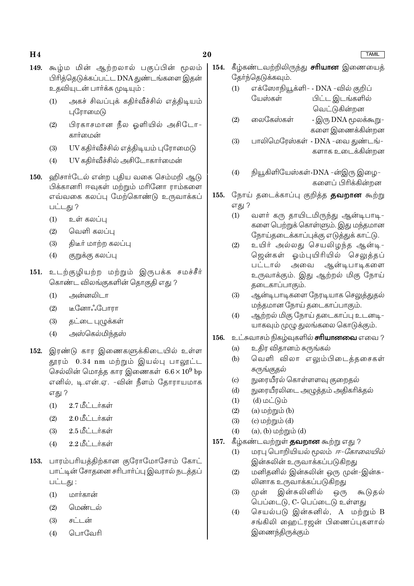#### 20

- 149. கூழ்ம மின் ஆற்றலால் பகுப்பின் மூலம் பிரித்தெடுக்கப்பட்ட DNA துண்டங்களை இதன் உதவியுடன் பார்க்க முடியும் :
	- அகச் சிவப்புக் கதிர்வீச்சில் எத்திடியம்  $(1)$ புரோமைடு
	- பிரகாசமான நீல ஓளியில் அசிடோ- $(2)$ கார்மைன்
	- UV கதிர்வீச்சில் எத்திடியம் புரோமைடு  $(3)$
	- UV கதிர்வீச்சில் அசிடோகார்மைன்  $(4)$
- ஹிசார்டேல் என்ற புதிய வகை செம்மறி ஆடு **150.** .<br>பிக்கானரி ஈவகள் மற்றும் மரினோ ராம்களை எவ்வகை கலப்பு மேற்கொண்டு உருவாக்கப் பட்டது ?
	- $(1)$ உள் கலப்பு
	- $(2)$ வெளி கலப்பு
	- திடீர் மாற்ற கலப்பு  $(3)$
	- குறுக்கு கலப்பு  $(4)$
- உடற்குழியற்ற மற்றும் இருபக்க சமச்சீர் 151. கொண்ட விலங்குகளின் தொகுதி எது ?
	- அன்னலிடா  $(1)$
	- $(2)$ டீனோஃபோரா
	- தட்டை புழுக்கள்  $(3)$
	- $(4)$ அஸ்கெல்மிந்தஸ்
- இரண்டு கார இணைகளுக்கிடையில் உள்ள 152. தூரம் 0.34 nm மற்றும் இயல்பு பாலூட்ட செல்லின் மொத்த கார இணைகள்  $6.6 \times 10^9$  bp எனில், டி.என்.ஏ. -வின் நீளம் தோராயமாக எது ?
	- 2.7 மீட்டர்கள்  $(1)$
	- $2.0181 + \text{if}$ கள்  $(2)$
	- 2.5 மீட்டர்கள்  $(3)$
	- 2.2 மீட்டர்கள்  $(4)$
- 153. பாரம்பரியத்திற்கான குரோமோசோம் கோட் பாட்டின் சோதனை சரிபார்ப்பு இவரால் நடத்தப் பட்டது :
	- மார்கான்  $(1)$
	- $(2)$ பெண்டல்
	- $(3)$ சுட்டன்
	- பொவேரி  $(4)$
- 154. கீழ்கண்டவற்றிலிருந்து **சரியான** இணையைத் தேர்ந்தெடுக்கவும். எக்ஸோநியூக்ளி- - DNA -வில் குறிப்  $(1)$ 
	- யேஸ்கள் பிட்ட இடங்களில் வெட்டுகின்றன
	- வைடுகள்)கள் - இரு DNA மூலக்கூறு–  $(2)$ களை இணைக்கின்றன
	- $(3)$ பாலிமெரேஸ்கள் - DNA -வை துண்டங்-களாக உடைக்கின்றன
	- $(4)$ நியூகிளியேஸ்கள்-DNA -ன்இரு இழை-களைப் பிரிக்கின்றன
- நோய் தடைக்காப்பு குறித்த **தவறான** கூற்று 155. எது ?
	- வளர் கரு தாயிடமிருந்து ஆன்டிபாடி- $(1)$ களை பெற்றுக் கொள்ளும். இது மந்தமான நோய்தடைக்காப்புக்கு எடுத்துக் காட்டு.
	- $(2)$ உயிர் அல்லது செயலிழந்த ஆன்டி-ஜென்கள் ஓம்புயிரியில் செலுத்தப் பட்டால் அவை ஆன்டிபாடிகளை உருவாக்கும். இது ஆற்றல் மிகு நோய் தடைகாப்பாகும்.
	- $(3)$ ஆன்டிபாடிகளை நேரடியாக செலுத்துதல் மந்தமான நோய் தடைகாப்பாகும்.
	- ஆற்றல் மிகு நோய் தடைகாப்பு உடனடி- $(4)$ யாகவும் முழு துலங்கலை கொடுக்கும்.
- உட்சுவாசம் நிகழ்வுகளில் **சாியானவை** எவை ? 156.
	- உதிர விதானம் சுருங்கல்  $(a)$
	- வெளி விலா எலும்பிடைக்கசைகள்  $(b)$ சுருங்குதல்
	- நுரையீரல் கொள்ளளவு குறைதல்  $\left( \mathrm{c}\right)$
	- நுரையீரலிடை அழுத்தம் அதிகரிக்தல்  $(d)$
	- $(d)$  மட்டும்  $(1)$
	- $(2)$  $(a)$  மற்றும்  $(b)$
	- $(3)$ (c) மற்றும்  $(d)$
	- $(4)$  $(a)$ ,  $(b)$  மற்றும்  $(d)$
- 157. கீழ்கண்டவற்றுள் **தவறான** கூற்று எது ?
	- மரபு பொறியியல் மூலம் *ஈ-கோலையில்*  $(1)$ இன்சுலின் உருவாக்கப்படுகிறது
	- மனிதனில் இன்சுலின் ஒரு முன்-இன்சு- $(2)$ லினாக உருவாக்கப்படுகிறது
	- இன்சுலினில்  $(3)$ முன் ஒ(ந கூடுதல் பெப்டைடு, C- பெப்டைடு உள்ளது
	- செயல்படு இன்சுனில், A மற்றும் B  $(4)$ சங்கிலி ஹைட்ரஜன் பிணைப்புகளால் இணைந்திருக்கும்

#### **TAMIL**

### $H<sub>4</sub>$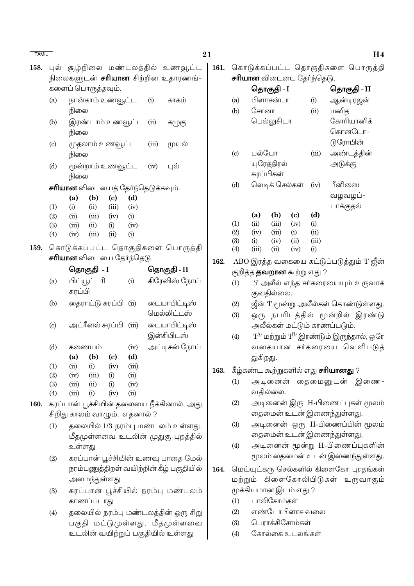| $1$ $\sim$ $\sim$ $\sim$ $\sim$ |                                                                                                         |                                                    |                                          |                                          |               |                             |                                           |      |  |  |
|---------------------------------|---------------------------------------------------------------------------------------------------------|----------------------------------------------------|------------------------------------------|------------------------------------------|---------------|-----------------------------|-------------------------------------------|------|--|--|
|                                 |                                                                                                         |                                                    |                                          |                                          |               |                             | 158. புல் சூழ்நிலை மண்டலத்தில் உணவூட்ட    | 161. |  |  |
|                                 |                                                                                                         |                                                    |                                          |                                          |               |                             | நிலைகளுடன் <b>சரியான</b> சிற்றின உதாரணங்- |      |  |  |
|                                 | களைப் பொருத்தவும்.                                                                                      |                                                    |                                          |                                          |               |                             |                                           |      |  |  |
|                                 | (a)                                                                                                     |                                                    | நான்காம் உணவூட்ட<br>(i)<br>காகம்<br>நிலை |                                          |               |                             |                                           |      |  |  |
|                                 | (b)                                                                                                     | நிலை                                               | இரண்டாம் உணவூட்ட (ii)                    |                                          |               |                             | கழுகு                                     |      |  |  |
|                                 | (c)                                                                                                     | நிலை                                               | முதலாம் உணவூட்ட                          |                                          |               | (iii)                       | முயல்                                     |      |  |  |
|                                 | (d)                                                                                                     | நிலை                                               |                                          | மூன்றாம் உணவூட்ட (iv) புல்               |               |                             |                                           |      |  |  |
|                                 |                                                                                                         |                                                    |                                          | <b>சாியான</b> விடையைத் தோ்ந்தெடுக்கவும். |               |                             |                                           |      |  |  |
|                                 |                                                                                                         | (a)                                                | (b)                                      | (c)                                      | (d)           |                             |                                           |      |  |  |
|                                 | (1)                                                                                                     | (i)                                                |                                          | $(ii)$ $(iii)$ $(iv)$                    |               |                             |                                           |      |  |  |
|                                 | (2)                                                                                                     |                                                    |                                          | $(ii)$ $(iii)$ $(iv)$ $(i)$              |               |                             |                                           |      |  |  |
|                                 | (3)                                                                                                     |                                                    |                                          | $(iii)$ $(ii)$ $(i)$ $(iv)$              |               |                             |                                           |      |  |  |
|                                 | (4)                                                                                                     | (iv)                                               | $(iii)$ $(ii)$                           |                                          | (i)           |                             |                                           |      |  |  |
| 159.                            |                                                                                                         |                                                    |                                          |                                          |               |                             | கொடுக்கப்பட்ட தொகுதிகளை பொருத்தி          |      |  |  |
|                                 |                                                                                                         |                                                    |                                          | <b>சாியான</b> விடையை தேர்ந்தெடு.         |               |                             |                                           | 162. |  |  |
|                                 |                                                                                                         |                                                    | தொகுதி <i>-</i> I                        |                                          |               |                             | தொகுதி - II                               |      |  |  |
|                                 | (a)                                                                                                     | பிட்யூட்டரி                                        |                                          |                                          | (i)           |                             | கிரேவிஸ் நோய்                             |      |  |  |
|                                 |                                                                                                         | சுரப்பி                                            |                                          |                                          |               |                             |                                           |      |  |  |
|                                 |                                                                                                         |                                                    |                                          |                                          |               |                             |                                           |      |  |  |
|                                 | தைராய்டு சுரப்பி  (ii)<br>(b)<br>அட்ரீனல் சுரப்பி (iii)<br>$\left( \mathrm{c} \right)$<br>(d)<br>கணையம் |                                                    |                                          |                                          |               | டையாபிட்டிஸ்<br>மெல்லிட்டஸ் |                                           |      |  |  |
|                                 |                                                                                                         |                                                    |                                          |                                          |               | டையாபிட்டிஸ்<br>இன்சிபிடஸ்  |                                           |      |  |  |
|                                 |                                                                                                         |                                                    |                                          | (iv)                                     | அட்டிசன் நோய் |                             |                                           |      |  |  |
|                                 | (b)<br>$\left( \mathrm{e}\right)$<br>(a)                                                                |                                                    |                                          | (d)                                      |               |                             |                                           |      |  |  |
|                                 | (1)                                                                                                     |                                                    | $(ii)$ $(i)$ $(iv)$                      |                                          | (iii)         |                             |                                           |      |  |  |
|                                 | (2)                                                                                                     |                                                    | $(iv)$ $(iii)$                           | (i)                                      | (ii)          |                             |                                           | 163. |  |  |
|                                 | (3)                                                                                                     | (iii)                                              | (ii)                                     | (i)                                      | (iv)          |                             |                                           |      |  |  |
|                                 | (4)                                                                                                     | (iii)                                              | (i)                                      | (iv)                                     | (ii)          |                             |                                           |      |  |  |
| 160.                            |                                                                                                         |                                                    |                                          |                                          |               |                             | கரப்பான் பூச்சியின் தலையை நீக்கினால், அது |      |  |  |
|                                 |                                                                                                         |                                                    |                                          | சிறிது காலம் வாழும். எதனால் ?            |               |                             |                                           |      |  |  |
|                                 | (1)                                                                                                     |                                                    |                                          |                                          |               |                             | தலையில் 1/3 நரம்பு மண்டலம் உள்ளது.        |      |  |  |
|                                 |                                                                                                         |                                                    |                                          |                                          |               |                             | மீதமுள்ளவை உடலின் முதுகு புறத்தில்        |      |  |  |
|                                 |                                                                                                         | உள்ளது                                             |                                          |                                          |               |                             |                                           |      |  |  |
|                                 | (2)                                                                                                     |                                                    |                                          |                                          |               |                             |                                           |      |  |  |
|                                 | கரப்பான் பூச்சியின் உணவு பாதை மேல்<br>நரம்பணுத்திறள் வயிற்றின் கீழ் பகுதியில்                           |                                                    |                                          |                                          |               |                             |                                           |      |  |  |
|                                 |                                                                                                         |                                                    |                                          |                                          |               |                             |                                           | 164. |  |  |
|                                 |                                                                                                         | அமைந்துள்ளது<br>கரப்பான் பூச்சியில் நரம்பு மண்டலம் |                                          |                                          |               |                             |                                           |      |  |  |
|                                 | (3)                                                                                                     |                                                    |                                          |                                          |               |                             |                                           |      |  |  |
|                                 |                                                                                                         |                                                    | காணப்படாது                               |                                          |               |                             |                                           |      |  |  |
|                                 | (4)                                                                                                     |                                                    |                                          |                                          |               |                             | தலையில் நரம்பு மண்டலத்தின் ஒரு சிறு       |      |  |  |
|                                 |                                                                                                         |                                                    |                                          |                                          |               |                             | பகுதி மட்டுமுள்ளது. மீதமுள்ளவை            |      |  |  |
|                                 | உடலின் வயிற்றுப் பகுதியில் உள்ளது                                                                       |                                                    |                                          |                                          |               |                             |                                           |      |  |  |

கொடுக்கப்பட்ட தொகுதிகளை பொருத்தி<br>**சரியான** விடையை சேர்ந்தெடு

|                                      |                                   | தொகுதி - I     |                  |               | தொகுதி - II                                                                     |  |  |  |  |
|--------------------------------------|-----------------------------------|----------------|------------------|---------------|---------------------------------------------------------------------------------|--|--|--|--|
| (a)                                  |                                   | பிளாசன்டா      |                  | (i)           | ஆன்டிரஜன்                                                                       |  |  |  |  |
| (b)                                  | சோனா                              |                |                  | (ii)          | மனித                                                                            |  |  |  |  |
|                                      | பெல்லுசிடா                        |                |                  |               | கோரியானிக்                                                                      |  |  |  |  |
|                                      |                                   |                |                  |               | கொனடோ–                                                                          |  |  |  |  |
|                                      |                                   |                |                  |               | டுரோபின்                                                                        |  |  |  |  |
| $\left( \mathrm{c}\right)$           | பல்போ                             |                |                  | (iii)         | அண்டத்தின்                                                                      |  |  |  |  |
|                                      |                                   | யுரேத்திரல்    |                  |               | அடுக்கு                                                                         |  |  |  |  |
|                                      |                                   | சுரப்பிகள்     |                  |               |                                                                                 |  |  |  |  |
| (d)                                  |                                   | லெடிக் செல்கள் |                  | (iv)          | பீனிஸை                                                                          |  |  |  |  |
|                                      |                                   |                |                  |               | வழவழப்-                                                                         |  |  |  |  |
|                                      |                                   |                |                  |               | பாக்குதல்                                                                       |  |  |  |  |
|                                      | (a)                               | (b)            | (c)              | (d)           |                                                                                 |  |  |  |  |
| (1)                                  | (ii)                              | (iii)          | (iv)             | (i)           |                                                                                 |  |  |  |  |
| (2)<br>(3)                           | (iv)<br>(i)                       | (iii)<br>(iv)  | $\rm(i)$<br>(ii) | (ii)<br>(iii) |                                                                                 |  |  |  |  |
| (4)                                  | (iii)                             | (ii)           | (iv)             | (i)           |                                                                                 |  |  |  |  |
|                                      |                                   |                |                  |               |                                                                                 |  |  |  |  |
|                                      | குறித்த <b>தவறான</b> கூற்று எது ? |                |                  |               | ABO இரத்த வகையை கட்டுப்படுத்தும் 'I' ஜீன்                                       |  |  |  |  |
| (1)                                  |                                   |                |                  |               | 'i' அலீல் எந்த சர்கரையையும் உருவாக்                                             |  |  |  |  |
|                                      |                                   | குவதில்லை.     |                  |               |                                                                                 |  |  |  |  |
| (2)                                  |                                   |                |                  |               | ஜீன் 'I' மூன்று அலீல்கள் கொண்டுள்ளது.                                           |  |  |  |  |
| (3)                                  |                                   |                |                  |               | ஒரு நபரிடத்தில் மூன்றில் இரண்டு                                                 |  |  |  |  |
|                                      |                                   |                |                  |               | அலீல்கள் மட்டும் காணப்படும்.                                                    |  |  |  |  |
| (4)                                  |                                   |                |                  |               | $\mathbf{T}^\mathrm{A}$ மற்றும் $\mathbf{T}^\mathrm{B}$ இரண்டும் இருந்தால், ஒரே |  |  |  |  |
|                                      |                                   |                |                  |               | வகையான சர்கரையை வெளிபடுத்                                                       |  |  |  |  |
|                                      | துகிறது.                          |                |                  |               |                                                                                 |  |  |  |  |
|                                      |                                   |                |                  |               | கீழ்கண்ட கூற்றுகளில் எது <b>சரியானது</b> ?                                      |  |  |  |  |
| (1)                                  |                                   |                |                  |               | அடினைன் தைமைனுடன் இணை-                                                          |  |  |  |  |
|                                      |                                   | வதில்லை.       |                  |               |                                                                                 |  |  |  |  |
|                                      |                                   |                |                  |               |                                                                                 |  |  |  |  |
| (2)                                  |                                   |                |                  |               | அடினைன் இரு H-பிணைப்புகள் மூலம்                                                 |  |  |  |  |
|                                      |                                   |                |                  |               | தைமைன் உடன் இணைந்துள்ளது.                                                       |  |  |  |  |
| (3)                                  |                                   |                |                  |               | அடினைன் ஒரு H-பிணைப்பின் மூலம்                                                  |  |  |  |  |
|                                      |                                   |                |                  |               | தைமைன் உடன் இணைந்துள்ளது.                                                       |  |  |  |  |
| $\left( 4\right)$                    |                                   |                |                  |               | அடினைன் மூன்று H-பிணைப்புகளின்                                                  |  |  |  |  |
|                                      |                                   |                |                  |               | மூலம் தைமைன் உடன் இணைந்துள்ளது.                                                 |  |  |  |  |
|                                      |                                   |                |                  |               | மெய்யுட்கரு செல்களில் கிளைகோ புரதங்கள்                                          |  |  |  |  |
| கிளைகோலிபிடுகள் உருவாகும்<br>மற்றும் |                                   |                |                  |               |                                                                                 |  |  |  |  |

- முக்கியமான இடம் எது ?
- (1) பாலிசோம்கள்
- எண்டோபிளாச வலை  $(2)$
- பெராக்சிசோம்கள்  $(3)$
- கோல்கை உடலங்கள்  $(4)$

#### $H<sub>4</sub>$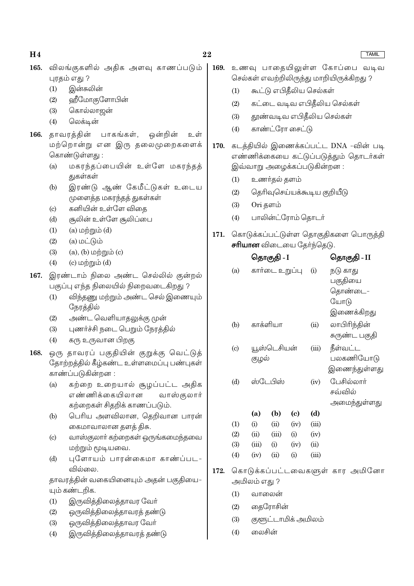| 165. | விலங்குகளில் அதிக அளவு காணப்படும்<br>புரதம் எது ?                             | 169. | உணவு பாதையிலுள்ள கோப்பை வடிவ<br>செல்கள் எவற்றிலிருந்து மாறியிருக்கிறது ? |                                                                   |                                       |                            |       |                                       |  |  |
|------|-------------------------------------------------------------------------------|------|--------------------------------------------------------------------------|-------------------------------------------------------------------|---------------------------------------|----------------------------|-------|---------------------------------------|--|--|
|      | இன்சுலின்<br>(1)                                                              |      | கூட்டு எபிதீலிய செல்கள்<br>(1)                                           |                                                                   |                                       |                            |       |                                       |  |  |
|      | ஹீமோகுளோபின்<br>(2)                                                           |      | (2)                                                                      | கட்டை வடிவ எபிதீலிய செல்கள்                                       |                                       |                            |       |                                       |  |  |
|      | கொல்லாஜன்<br>(3)                                                              |      |                                                                          |                                                                   |                                       |                            |       |                                       |  |  |
|      | லெக்டின்<br>(4)                                                               |      | (3)                                                                      |                                                                   |                                       |                            |       | தூண்வடிவ எபிதீலிய செல்கள்             |  |  |
| 166. | தாவரத்தின்<br>பாகங்கள்,<br>ஒன்றின்<br>உள்                                     |      | (4)                                                                      |                                                                   |                                       | காண்ட்ரோ சைட்டு            |       |                                       |  |  |
|      | மற்றொன்று என இரு தலைமுறைகளைக்                                                 | 170. |                                                                          |                                                                   | கடத்தியில் இணைக்கப்பட்ட DNA -வின் படி |                            |       |                                       |  |  |
|      | கொண்டுள்ளது:                                                                  |      |                                                                          |                                                                   |                                       |                            |       | எண்ணிக்கையை கட்டுப்படுத்தும் தொடர்கள் |  |  |
|      | மகரந்தப்பையின் உள்ளே மகரந்தத்<br>(a)                                          |      | இவ்வாறு அழைக்கப்படுகின்றன:                                               |                                                                   |                                       |                            |       |                                       |  |  |
|      | துகள்கள்                                                                      |      | உணர்தல் தளம்<br>(1)                                                      |                                                                   |                                       |                            |       |                                       |  |  |
|      | இரண்டு ஆண் கேமீட்டுகள் உடைய<br>(b)                                            |      | (2)                                                                      | தெரிவுசெய்யக்கூடிய குறியீடு                                       |                                       |                            |       |                                       |  |  |
|      | முளைத்த மகரந்தத் துகள்கள்<br>கனியின் உள்ளே விதை<br>$\left( \mathrm{c}\right)$ |      | (3)                                                                      | Ori தளம்                                                          |                                       |                            |       |                                       |  |  |
|      | சூலின் உள்ளே சூலிப்பை<br>(d)                                                  |      | (4)                                                                      |                                                                   | பாலின்ட்ரோம் தொடர்                    |                            |       |                                       |  |  |
|      | $(a)$ மற்றும் $(d)$<br>(1)                                                    |      |                                                                          |                                                                   |                                       |                            |       |                                       |  |  |
|      | $(a)$ மட்டும்<br>(2)                                                          | 171. |                                                                          | கொடுக்கப்பட்டுள்ள தொகுதிகளை பொருத்தி<br>சரியான விடையை தேர்ந்தெடு. |                                       |                            |       |                                       |  |  |
|      | $(a)$ , $(b)$ மற்றும் $(c)$<br>(3)                                            |      |                                                                          |                                                                   |                                       |                            |       |                                       |  |  |
|      | $(c)$ மற்றும் $(d)$<br>(4)                                                    |      |                                                                          |                                                                   | தொகுதி - I                            |                            |       | தொகுதி - II                           |  |  |
| 167. | இரண்டாம் நிலை அண்ட செல்லில் குன்றல்                                           |      | (a)                                                                      |                                                                   |                                       | கார்டை உறுப்பு             | (i)   | நடு காது                              |  |  |
|      | பகுப்பு எந்த நிலையில் நிறைவடைகிறது ?                                          |      |                                                                          | பகுதியை                                                           |                                       |                            |       |                                       |  |  |
|      | விந்தணு மற்றும் அண்ட செல் இணையும்<br>(1)                                      |      |                                                                          |                                                                   |                                       |                            |       | தொண்டை-<br>யோடு                       |  |  |
|      | நேரத்தில்                                                                     |      |                                                                          | இணைக்கிறது                                                        |                                       |                            |       |                                       |  |  |
|      | அண்ட வெளியாதலுக்கு முன்<br>(2)                                                |      | (b)                                                                      | காக்ளியா                                                          |                                       |                            | (ii)  | லாபிரிந்தின்                          |  |  |
|      | புணர்ச்சி நடை பெறும் நேரத்தில்<br>(3)                                         |      |                                                                          |                                                                   |                                       |                            |       | சுருண்ட பகுதி                         |  |  |
|      | கரு உருவான பிறகு<br>(4)                                                       |      | (c)                                                                      |                                                                   | யூஸ்டெசியன்<br>(iii)                  |                            |       | நீள்வட்ட                              |  |  |
| 168. | ஒரு தாவரப் பகுதியின் குறுக்கு வெட்டுத்                                        |      |                                                                          | குழல்                                                             |                                       |                            |       | பலகணியோடு                             |  |  |
|      | தோற்றத்தில் கீழ்கண்ட உள்ளமைப்பு பண்புகள்                                      |      |                                                                          |                                                                   |                                       |                            |       | இணைந்துள்ளது                          |  |  |
|      | காண்ப்படுகின்றன :                                                             |      | (d)                                                                      |                                                                   | ஸ்டேபிஸ்                              | (iv)                       |       | பேசில்லார்                            |  |  |
|      | கற்றை உறையால் சூழப்பட்ட அதிக<br>(a)<br>எண்ணிக்கையிலான                         |      |                                                                          |                                                                   |                                       |                            |       | சவ்வில்                               |  |  |
|      | வாஸ்குலார்<br>கற்றைகள் சிதறிக் காணப்படும்.                                    |      |                                                                          |                                                                   |                                       |                            |       | அமைந்துள்ளது                          |  |  |
|      | பெரிய அளவிலான, தெறிவான பாரன்<br>(b)                                           |      |                                                                          | (a)                                                               | (b)                                   | $\left( \mathrm{e}\right)$ | (d)   |                                       |  |  |
|      | கைமாவாலான தளத் திசு.                                                          |      | (1)                                                                      | (i)                                                               | (ii)                                  | (iv)                       | (iii) |                                       |  |  |
|      | வாஸ்குலாா் கற்றைகள் ஒருங்கமைந்தவை<br>$\left( \mathrm{c}\right)$               |      | (2)                                                                      | (ii)                                                              | (iii)                                 | (i)                        | (iv)  |                                       |  |  |
|      | மற்றும் மூடியவை.                                                              |      | (3)                                                                      | (iii)                                                             | (i)                                   | (iv)                       | (ii)  |                                       |  |  |
|      | புளோயம் பாரன்கைமா காண்ப்பட-<br>(d)                                            |      | (4)                                                                      | (iv)                                                              | (ii)                                  | (i)                        | (iii) |                                       |  |  |
|      | வில்லை.                                                                       | 172. | கொடுக்கப்பட்டவைகளுள் கார அமினோ                                           |                                                                   |                                       |                            |       |                                       |  |  |
|      | தாவரத்தின் வகையினையும் அதன் பகுதியை-                                          |      | அமிலம் எது ?                                                             |                                                                   |                                       |                            |       |                                       |  |  |
|      | யும் கண்டறிக.                                                                 |      | (1)<br>வாலைன்                                                            |                                                                   |                                       |                            |       |                                       |  |  |
|      | இருவித்திலைத்தாவர வோ்<br>(1)                                                  |      | தைரோசின்<br>(2)                                                          |                                                                   |                                       |                            |       |                                       |  |  |
|      | ஒருவித்திலைத்தாவரத் தண்டு<br>(2)                                              |      | குளூட்டாமிக் அமிலம்<br>(3)                                               |                                                                   |                                       |                            |       |                                       |  |  |
|      | ஒருவித்திலைத்தாவர வோ்<br>(3)                                                  |      |                                                                          | லைசின்                                                            |                                       |                            |       |                                       |  |  |
|      | இருவித்திலைத்தாவரத் தண்டு<br>(4)                                              |      | (4)                                                                      |                                                                   |                                       |                            |       |                                       |  |  |

### $22$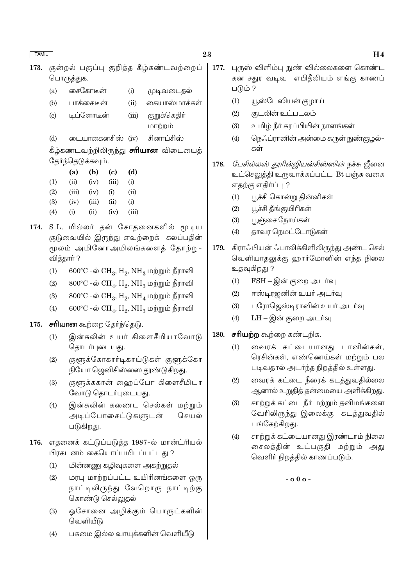$(a)$ 

குன்றல் பகுப்பு குறித்த கீழ்கண்டவற்றைப் 173. பொருத்துக.

 $(i)$ 

முடிவடைதல்

பாக்கைடீன் கையாஸ்மாக்கள்  $(b)$  $(ii)$ டிப்ளோடீன் குறுக்கெதிா்  $(c)$  $(iii)$ மாற்றம் டையாகைனசிஸ் (iv) சினாப்சிஸ்  $(d)$ கீழ்கணடவற்றிலிருந்து **சரியான** விடையைத் தேர்ந்தெடுக்கவும்.  $(a)$  $(b)$  $(c)$  $(d)$  $(1)$  $(ii)$  $(iv)$  $(iii)$  $(i)$  $(2)$  $(iv)$  $(i)$  $(ii)$  $(iii)$  $(3)$  $(i)$  $(iv)$  $(iii)$  $(ii)$  $(4)$  $(iii)$  $(i)$  $(ii)$  $(iv)$ 

சைகோடீன்

- 174. S.L. மில்லர் தன் சோதனைகளில் மூடிய குடுவையில் இருந்து எவற்றைக் கலப்பதின் மூலம் அமினோஅமிலங்களைத் தோற்று-வித்தார்?
	- $600^{\circ}$ C -ல்  $CH_3$ ,  $H_2$ ,  $NH_3$  மற்றும் நீராவி  $(1)$
	- $800^{\circ}$ C -ல்  $CH_4$ ,  $H_2$ ,  $NH_3$  மற்றும் நீராவி  $(2)$
	- $800^{\circ}$ C -ல்  $CH_3$ ,  $H_2$ ,  $NH_4$  மற்றும் நீராவி  $(3)$
	- $600^{\circ}$ C -ல்  $CH_4$ ,  $H_2$ ,  $NH_3$  மற்றும் நீராவி  $(4)$

#### **சரியான** கூற்றை தேர்ந்தெடு. 175.

- இன்சுலின் உயர் கிளைசீமியாவோடு  $(1)$ தொடர்புடையது.
- குளூக்கோகார்டிகாய்டுகள் குளூக்கோ  $(2)$ நியோ ஜெனிசிஸ்ஸை தூண்டுகிறது.
- குளுக்ககான் ஹைப்போ கிளைசீமியா  $(3)$ வோடு தொடர்புடையது.
- இன்சுலின் கணைய செல்கள் மற்றும்  $(4)$ அடிப்போசைட்டுகளுடன் செயல் படுகிறது.
- 176. எதனைக் கட்டுப்படுத்த 1987-ல் மான்ட்ரியல் பிரகடனம் கையொப்பமிடப்பட்டது ?
	- $(1)$ மின்னணு கழிவுகளை அகற்றுதல்
	- மரபு மாற்றப்பட்ட உயிரினங்களை ஒரு  $(2)$ நாட்டிலிருந்து வேறொரு நாட்டிற்கு கொண்டு செல்லுதல்
	- ஓசோனை அழிக்கும் பொருட்களின்  $(3)$ வெளியீடு
	- பசுமை இல்ல வாயுக்களின் வெளியீடு  $(4)$
- 177. புருஸ் விளிம்பு நுண் வில்லைகளை கொண்ட கன சதுர வடிவ எபிதீலியம் எங்கு காணப் படும் ?
	- யூஸ்டேஸியன் குழாய்  $(1)$
	- கடலின் உட்படலம்  $(2)$
	- $(3)$ உமிழ் நீா் சுரப்பியின் நாளங்கள்
	- $(4)$ நெஃப்ரானின் அன்மை சுருள் நுண்குழல்– கள்

178. *பேசில்லஸ் தூரின்ஜியன்சிஸ்ஸின்* நச்சு ஜீனை உட்செலுத்தி உருவாக்கப்பட்ட Bt பஞ்சு வகை எதற்கு எதிர்ப்பு ?

- பூச்சி கொன்று தின்னிகள்  $(1)$
- பூச்சி தீங்குயிரிகள்  $(2)$
- பூஞ்சை நோய்கள்  $(3)$
- தாவர நெமட்டோடுகள்  $(4)$
- கிராஃபியன் ஃபாலிக்கிளிலிருந்து அண்ட செல் 179. வெளியாதலுக்கு ஹார்மோனின் எந்த நிலை உதவுகிறது ?
	- FSH இன் குறை அடர்வு  $(1)$
	- ஈஸ்டிரஜனின் உயர் அடர்வு  $(2)$
	- புரோஜெஸ்டிரானின் உயர் அடர்வு  $(3)$
	- LH இன் குறை அடர்வு  $(4)$

#### சரியற்ற கூற்றை கண்டறிக. 180.

- வைரக் கட்டையானது டானின்கள்,  $(1)$ ரெசின்கள், எண்ணெய்கள் மற்றும் பல படிவதால் அடர்ந்த நிறத்தில் உள்ளது.
- வைரக் கட்டை நீரைக் கடத்துவதில்லை  $(2)$ ஆனால் உறுதித் தன்மையை அளிக்கிறது.
- சாற்றுக் கட்டை நீர் மற்றும் தனிமங்களை  $(3)$ வேரிலிருந்து இலைக்கு கடத்துவதில் பங்கேற்கிறது.
- சாற்றுக் கட்டையானது இரண்டாம் நிலை  $(4)$ சைலத்தின் உட்பகுதி மற்றும் அது வெளிர் நிறத்தில் காணப்படும்.

 $-0.00 -$